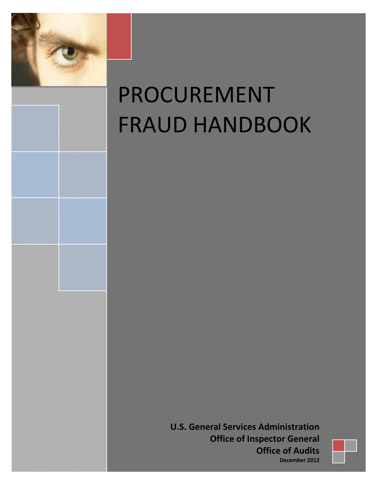

# PROCUREMENT FRAUD HANDBOOK

**U.S. General Services Administration Office of Inspector General Office of Audits December 2012** 

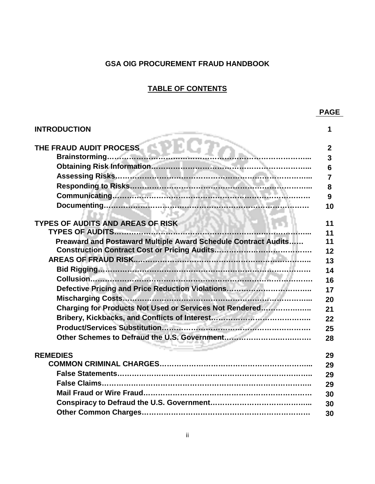#### **GSA OIG PROCUREMENT FRAUD HANDBOOK**

#### **TABLE OF CONTENTS**

| <b>INTRODUCTION</b>                                            | 1              |
|----------------------------------------------------------------|----------------|
| THE FRAUD AUDIT PROCESS                                        | $\mathbf{2}$   |
| Brainstorming                                                  | 3              |
|                                                                | 6              |
|                                                                | $\overline{7}$ |
|                                                                | 8              |
|                                                                | 9              |
| ・ソルモス                                                          | 10             |
| <b>TYPES OF AUDITS AND AREAS OF RISK</b>                       | 11             |
|                                                                | 11             |
| Preaward and Postaward Multiple Award Schedule Contract Audits | 11             |
|                                                                | 12             |
|                                                                | 13             |
|                                                                | 14             |
|                                                                | 16             |
| Defective Pricing and Price Reduction Violations               | 17             |
|                                                                | 20             |
| Charging for Products Not Used or Services Not Rendered        | 21             |
|                                                                | 22             |
|                                                                | 25             |
|                                                                | 28             |
| <b>REMEDIES</b>                                                | 29             |
|                                                                | 29             |
|                                                                | 29             |
|                                                                | 29             |
|                                                                | 30             |
|                                                                | 30             |
|                                                                | 30             |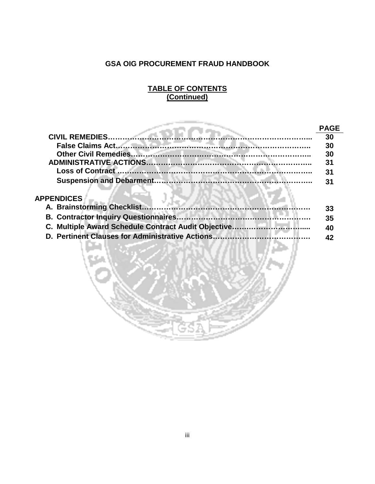#### **GSA OIG PROCUREMENT FRAUD HANDBOOK**

#### **TABLE OF CONTENTS (Continued)**

|                   | ۱GE |
|-------------------|-----|
|                   | 30  |
|                   | 30  |
|                   | 30  |
|                   |     |
|                   | 31  |
|                   |     |
| <b>APPENDICES</b> |     |

| 33 |
|----|
| 35 |
| 40 |
| 42 |
|    |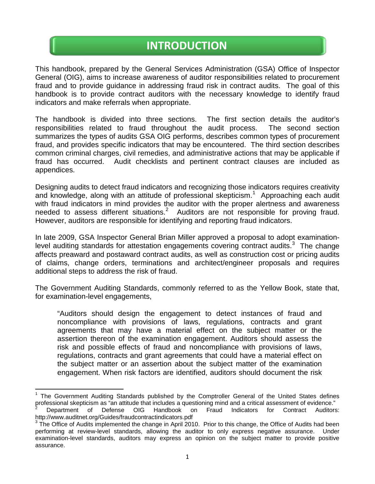## **INTRODUCTION**

This handbook, prepared by the General Services Administration (GSA) Office of Inspector General (OIG), aims to increase awareness of auditor responsibilities related to procurement fraud and to provide guidance in addressing fraud risk in contract audits. The goal of this handbook is to provide contract auditors with the necessary knowledge to identify fraud indicators and make referrals when appropriate.

The handbook is divided into three sections. The first section details the auditor's responsibilities related to fraud throughout the audit process. The second section summarizes the types of audits GSA OIG performs, describes common types of procurement fraud, and provides specific indicators that may be encountered. The third section describes common criminal charges, civil remedies, and administrative actions that may be applicable if fraud has occurred. Audit checklists and pertinent contract clauses are included as appendices.

Designing audits to detect fraud indicators and recognizing those indicators requires creativity and knowledge, along with an attitude of professional skepticism.<sup>[1](#page-3-0)</sup> Approaching each audit with fraud indicators in mind provides the auditor with the proper alertness and awareness needed to assess different situations.<sup>[2](#page-3-1)</sup> Auditors are not responsible for proving fraud. However, auditors are responsible for identifying and reporting fraud indicators.

In late 2009, GSA Inspector General Brian Miller approved a proposal to adopt examination-level auditing standards for attestation engagements covering contract audits.<sup>[3](#page-3-2)</sup> The change affects preaward and postaward contract audits, as well as construction cost or pricing audits of claims, change orders, terminations and architect/engineer proposals and requires additional steps to address the risk of fraud.

The Government Auditing Standards, commonly referred to as the Yellow Book, state that, for examination-level engagements,

"Auditors should design the engagement to detect instances of fraud and noncompliance with provisions of laws, regulations, contracts and grant agreements that may have a material effect on the subject matter or the assertion thereon of the examination engagement. Auditors should assess the risk and possible effects of fraud and noncompliance with provisions of laws, regulations, contracts and grant agreements that could have a material effect on the subject matter or an assertion about the subject matter of the examination engagement. When risk factors are identified, auditors should document the risk

<span id="page-3-0"></span><sup>1</sup> The Government Auditing Standards published by the Comptroller General of the United States defines professional skepticism as "an attitude that includes a questioning mind and a critical assessment of evidence."<br><sup>2</sup> Department of Defense OIG Handbook on Fraud Indicators for Contract Auditors:

<span id="page-3-1"></span>http://www.auditnet.org/Guides/fraudcontractindicators.pdf

<span id="page-3-2"></span> $3$  The Office of Audits implemented the change in April 2010. Prior to this change, the Office of Audits had been performing at review-level standards, allowing the auditor to only express negative assurance. Under examination-level standards, auditors may express an opinion on the subject matter to provide positive assurance.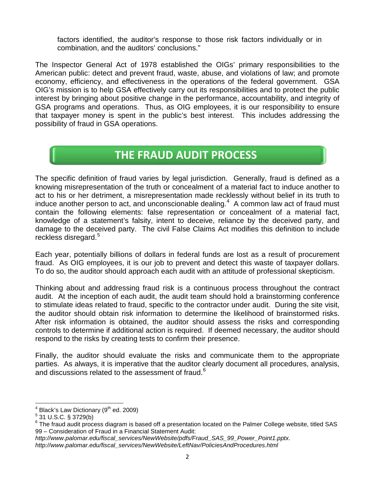factors identified, the auditor's response to those risk factors individually or in combination, and the auditors' conclusions."

The Inspector General Act of 1978 established the OIGs' primary responsibilities to the American public: detect and prevent fraud, waste, abuse, and violations of law; and promote economy, efficiency, and effectiveness in the operations of the federal government. GSA OIG's mission is to help GSA effectively carry out its responsibilities and to protect the public interest by bringing about positive change in the performance, accountability, and integrity of GSA programs and operations. Thus, as OIG employees, it is our responsibility to ensure that taxpayer money is spent in the public's best interest. This includes addressing the possibility of fraud in GSA operations.

## **THE FRAUD AUDIT PROCESS**

The specific definition of fraud varies by legal jurisdiction. Generally, fraud is defined as a knowing misrepresentation of the truth or concealment of a material fact to induce another to act to his or her detriment, a misrepresentation made recklessly without belief in its truth to induce another person to act, and unconscionable dealing. $4\,$  $4\,$  A common law act of fraud must contain the following elements: false representation or concealment of a material fact, knowledge of a statement's falsity, intent to deceive, reliance by the deceived party, and damage to the deceived party. The civil False Claims Act modifies this definition to include reckless disregard. [5](#page-4-1)

Each year, potentially billions of dollars in federal funds are lost as a result of procurement fraud. As OIG employees, it is our job to prevent and detect this waste of taxpayer dollars. To do so, the auditor should approach each audit with an attitude of professional skepticism.

Thinking about and addressing fraud risk is a continuous process throughout the contract audit. At the inception of each audit, the audit team should hold a brainstorming conference to stimulate ideas related to fraud, specific to the contractor under audit. During the site visit, the auditor should obtain risk information to determine the likelihood of brainstormed risks. After risk information is obtained, the auditor should assess the risks and corresponding controls to determine if additional action is required. If deemed necessary, the auditor should respond to the risks by creating tests to confirm their presence.

Finally, the auditor should evaluate the risks and communicate them to the appropriate parties. As always, it is imperative that the auditor clearly document all procedures, analysis, and discussions related to the assessment of fraud.<sup>[6](#page-4-2)</sup>

*http://www.palomar.edu/fiscal\_services/NewWebsite/pdfs/Fraud\_SAS\_99\_Power\_Point1.pptx. http://www.palomar.edu/fiscal\_services/NewWebsite/LeftNav/PoliciesAndProcedures.html*

<span id="page-4-0"></span> $^{4}$  Black's Law Dictionary (9<sup>th</sup> ed. 2009)<br> $^{5}$  31 U.S.C. § 3729(b)

<span id="page-4-1"></span>

<span id="page-4-2"></span><sup>&</sup>lt;sup>6</sup> The fraud audit process diagram is based off a presentation located on the Palmer College website, titled SAS 99 – Consideration of Fraud in a Financial Statement Audit: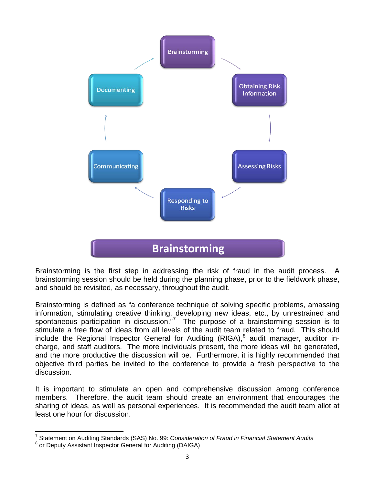

Brainstorming is the first step in addressing the risk of fraud in the audit process. A brainstorming session should be held during the planning phase, prior to the fieldwork phase, and should be revisited, as necessary, throughout the audit.

Brainstorming is defined as "a conference technique of solving specific problems, amassing information, stimulating creative thinking, developing new ideas, etc., by unrestrained and spontaneous participation in discussion."<sup>[7](#page-5-0)</sup> The purpose of a brainstorming session is to stimulate a free flow of ideas from all levels of the audit team related to fraud. This should include the Regional Inspector General for Auditing (RIGA),<sup>[8](#page-5-1)</sup> audit manager, auditor incharge, and staff auditors. The more individuals present, the more ideas will be generated, and the more productive the discussion will be. Furthermore, it is highly recommended that objective third parties be invited to the conference to provide a fresh perspective to the discussion.

It is important to stimulate an open and comprehensive discussion among conference members. Therefore, the audit team should create an environment that encourages the sharing of ideas, as well as personal experiences. It is recommended the audit team allot at least one hour for discussion.

<sup>7</sup> Statement on Auditing Standards (SAS) No. 99: *Consideration of Fraud in Financial Statement Audits*

<span id="page-5-1"></span><span id="page-5-0"></span><sup>8</sup> or Deputy Assistant Inspector General for Auditing (DAIGA)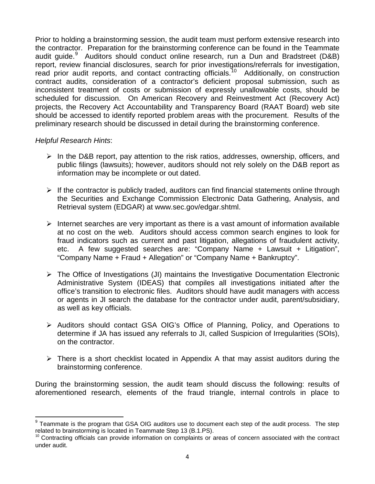Prior to holding a brainstorming session, the audit team must perform extensive research into the contractor. Preparation for the brainstorming conference can be found in the Teammate audit guide.<sup>[9](#page-6-0)</sup> Auditors should conduct online research, run a Dun and Bradstreet (D&B) report, review financial disclosures, search for prior investigations/referrals for investigation, read prior audit reports, and contact contracting officials.<sup>[10](#page-6-1)</sup> Additionally, on construction contract audits, consideration of a contractor's deficient proposal submission, such as inconsistent treatment of costs or submission of expressly unallowable costs, should be scheduled for discussion. On American Recovery and Reinvestment Act (Recovery Act) projects, the Recovery Act Accountability and Transparency Board (RAAT Board) web site should be accessed to identify reported problem areas with the procurement. Results of the preliminary research should be discussed in detail during the brainstorming conference.

#### *Helpful Research Hints*:

- $\triangleright$  In the D&B report, pay attention to the risk ratios, addresses, ownership, officers, and public filings (lawsuits); however, auditors should not rely solely on the D&B report as information may be incomplete or out dated.
- $\triangleright$  If the contractor is publicly traded, auditors can find financial statements online through the Securities and Exchange Commission Electronic Data Gathering, Analysis, and Retrieval system (EDGAR) at www.sec.gov/edgar.shtml.
- Internet searches are very important as there is a vast amount of information available at no cost on the web. Auditors should access common search engines to look for fraud indicators such as current and past litigation, allegations of fraudulent activity, etc. A few suggested searches are: "Company Name + Lawsuit + Litigation", "Company Name + Fraud + Allegation" or "Company Name + Bankruptcy".
- $\triangleright$  The Office of Investigations (JI) maintains the Investigative Documentation Electronic Administrative System (IDEAS) that compiles all investigations initiated after the office's transition to electronic files. Auditors should have audit managers with access or agents in JI search the database for the contractor under audit, parent/subsidiary, as well as key officials.
- Auditors should contact GSA OIG's Office of Planning, Policy, and Operations to determine if JA has issued any referrals to JI, called Suspicion of Irregularities (SOIs), on the contractor.
- $\triangleright$  There is a short checklist located in Appendix A that may assist auditors during the brainstorming conference.

During the brainstorming session, the audit team should discuss the following: results of aforementioned research, elements of the fraud triangle, internal controls in place to

<span id="page-6-0"></span> $9$  Teammate is the program that GSA OIG auditors use to document each step of the audit process. The step related to brainstorming is located in Teammate Step 13 (B.1.PS).

<span id="page-6-1"></span> $10$  Contracting officials can provide information on complaints or areas of concern associated with the contract under audit.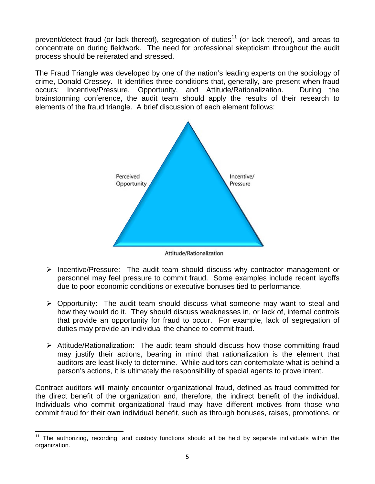prevent/detect fraud (or lack thereof), segregation of duties<sup>[11](#page-7-0)</sup> (or lack thereof), and areas to concentrate on during fieldwork. The need for professional skepticism throughout the audit process should be reiterated and stressed.

The Fraud Triangle was developed by one of the nation's leading experts on the sociology of crime, Donald Cressey. It identifies three conditions that, generally, are present when fraud occurs: Incentive/Pressure, Opportunity, and Attitude/Rationalization. During the brainstorming conference, the audit team should apply the results of their research to elements of the fraud triangle. A brief discussion of each element follows:



Attitude/Rationalization

- $\triangleright$  Incentive/Pressure: The audit team should discuss why contractor management or personnel may feel pressure to commit fraud. Some examples include recent layoffs due to poor economic conditions or executive bonuses tied to performance.
- Opportunity: The audit team should discuss what someone may want to steal and how they would do it. They should discuss weaknesses in, or lack of, internal controls that provide an opportunity for fraud to occur. For example, lack of segregation of duties may provide an individual the chance to commit fraud.
- $\triangleright$  Attitude/Rationalization: The audit team should discuss how those committing fraud may justify their actions, bearing in mind that rationalization is the element that auditors are least likely to determine. While auditors can contemplate what is behind a person's actions, it is ultimately the responsibility of special agents to prove intent.

Contract auditors will mainly encounter organizational fraud, defined as fraud committed for the direct benefit of the organization and, therefore, the indirect benefit of the individual. Individuals who commit organizational fraud may have different motives from those who commit fraud for their own individual benefit, such as through bonuses, raises, promotions, or

<span id="page-7-0"></span>The authorizing, recording, and custody functions should all be held by separate individuals within the organization.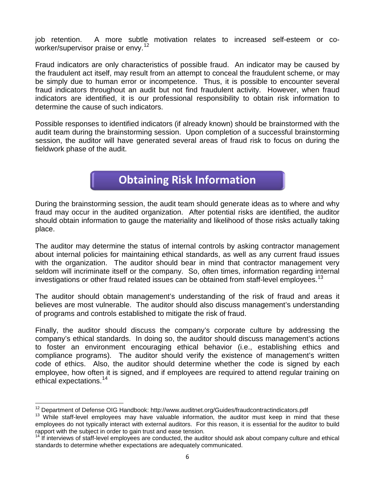job retention. A more subtle motivation relates to increased self-esteem or coworker/supervisor praise or envy. [12](#page-8-0)

Fraud indicators are only characteristics of possible fraud. An indicator may be caused by the fraudulent act itself, may result from an attempt to conceal the fraudulent scheme, or may be simply due to human error or incompetence. Thus, it is possible to encounter several fraud indicators throughout an audit but not find fraudulent activity. However, when fraud indicators are identified, it is our professional responsibility to obtain risk information to determine the cause of such indicators.

Possible responses to identified indicators (if already known) should be brainstormed with the audit team during the brainstorming session. Upon completion of a successful brainstorming session, the auditor will have generated several areas of fraud risk to focus on during the fieldwork phase of the audit.

### **Obtaining Risk Information**

During the brainstorming session, the audit team should generate ideas as to where and why fraud may occur in the audited organization. After potential risks are identified, the auditor should obtain information to gauge the materiality and likelihood of those risks actually taking place.

The auditor may determine the status of internal controls by asking contractor management about internal policies for maintaining ethical standards, as well as any current fraud issues with the organization. The auditor should bear in mind that contractor management very seldom will incriminate itself or the company. So, often times, information regarding internal investigations or other fraud related issues can be obtained from staff-level employees. [13](#page-8-1) 

The auditor should obtain management's understanding of the risk of fraud and areas it believes are most vulnerable. The auditor should also discuss management's understanding of programs and controls established to mitigate the risk of fraud.

Finally, the auditor should discuss the company's corporate culture by addressing the company's ethical standards. In doing so, the auditor should discuss management's actions to foster an environment encouraging ethical behavior (i.e., establishing ethics and compliance programs). The auditor should verify the existence of management's written code of ethics. Also, the auditor should determine whether the code is signed by each employee, how often it is signed, and if employees are required to attend regular training on ethical expectations.[14](#page-8-2)

<span id="page-8-1"></span><span id="page-8-0"></span><sup>&</sup>lt;sup>12</sup> Department of Defense OIG Handbook: http://www.auditnet.org/Guides/fraudcontractindicators.pdf<br><sup>13</sup> While staff-level employees may have valuable information, the auditor must keep in mind that these employees do not typically interact with external auditors. For this reason, it is essential for the auditor to build rapport with the subject in order to gain trust and ease tension.

<span id="page-8-2"></span> $14$  If interviews of staff-level employees are conducted, the auditor should ask about company culture and ethical standards to determine whether expectations are adequately communicated.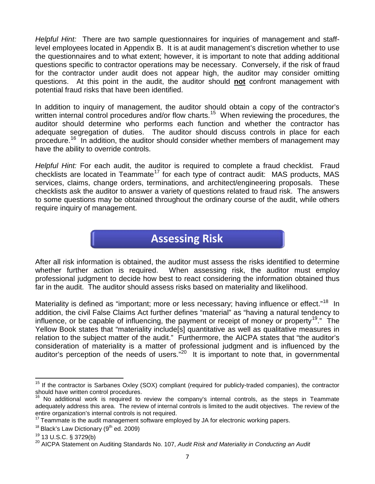*Helpful Hint:* There are two sample questionnaires for inquiries of management and stafflevel employees located in Appendix B. It is at audit management's discretion whether to use the questionnaires and to what extent; however, it is important to note that adding additional questions specific to contractor operations may be necessary. Conversely, if the risk of fraud for the contractor under audit does not appear high, the auditor may consider omitting questions. At this point in the audit, the auditor should **not** confront management with potential fraud risks that have been identified.

In addition to inquiry of management, the auditor should obtain a copy of the contractor's written internal control procedures and/or flow charts.<sup>[15](#page-9-0)</sup> When reviewing the procedures, the auditor should determine who performs each function and whether the contractor has adequate segregation of duties. The auditor should discuss controls in place for each procedure.<sup>[16](#page-9-1)</sup> In addition, the auditor should consider whether members of management may have the ability to override controls.

*Helpful Hint:* For each audit, the auditor is required to complete a fraud checklist. Fraud checklists are located in Teammate<sup>[17](#page-9-2)</sup> for each type of contract audit: MAS products, MAS services, claims, change orders, terminations, and architect/engineering proposals. These checklists ask the auditor to answer a variety of questions related to fraud risk. The answers to some questions may be obtained throughout the ordinary course of the audit, while others require inquiry of management.

## **Assessing Risk**

After all risk information is obtained, the auditor must assess the risks identified to determine whether further action is required. When assessing risk, the auditor must employ professional judgment to decide how best to react considering the information obtained thus far in the audit. The auditor should assess risks based on materiality and likelihood.

Materiality is defined as "important; more or less necessary; having influence or effect."<sup>[18](#page-9-3)</sup> In addition, the civil False Claims Act further defines "material" as "having a natural tendency to influence, or be capable of influencing, the payment or receipt of money or property<sup>[19](#page-9-4)</sup>." The Yellow Book states that "materiality include[s] quantitative as well as qualitative measures in relation to the subject matter of the audit." Furthermore, the AICPA states that "the auditor's consideration of materiality is a matter of professional judgment and is influenced by the auditor's perception of the needs of users."<sup>20</sup> It is important to note that, in governmental

<span id="page-9-0"></span> $15$  If the contractor is Sarbanes Oxley (SOX) compliant (required for publicly-traded companies), the contractor should have written control procedures.

<span id="page-9-1"></span> $16$  No additional work is required to review the company's internal controls, as the steps in Teammate adequately address this area. The review of internal controls is limited to the audit objectives. The review of the entire organization's internal controls is not required.

<span id="page-9-2"></span> $17$  Teammate is the audit management software employed by JA for electronic working papers.

<span id="page-9-3"></span> $18$  Black's Law Dictionary ( $9<sup>th</sup>$  ed. 2009)

<span id="page-9-5"></span><span id="page-9-4"></span><sup>&</sup>lt;sup>19</sup> 13 U.S.C. § 3729(b)<br><sup>20</sup> AICPA Statement on Auditing Standards No. 107, *Audit Risk and Materiality in Conducting an Audit*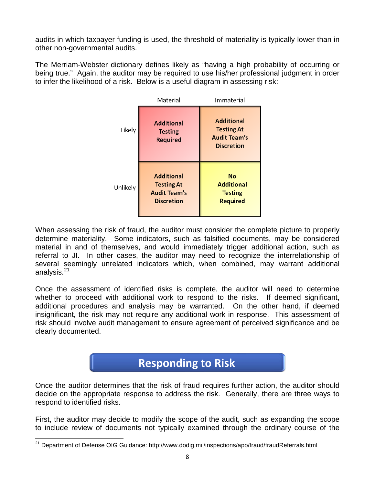audits in which taxpayer funding is used, the threshold of materiality is typically lower than in other non-governmental audits.

The Merriam-Webster dictionary defines likely as "having a high probability of occurring or being true." Again, the auditor may be required to use his/her professional judgment in order to infer the likelihood of a risk. Below is a useful diagram in assessing risk:

|          | Material                                                                           | Immaterial                                                                         |
|----------|------------------------------------------------------------------------------------|------------------------------------------------------------------------------------|
| Likely   | <b>Additional</b><br><b>Testing</b><br><b>Required</b>                             | <b>Additional</b><br><b>Testing At</b><br><b>Audit Team's</b><br><b>Discretion</b> |
| Unlikely | <b>Additional</b><br><b>Testing At</b><br><b>Audit Team's</b><br><b>Discretion</b> | <b>No</b><br><b>Additional</b><br><b>Testing</b><br><b>Required</b>                |

When assessing the risk of fraud, the auditor must consider the complete picture to properly determine materiality. Some indicators, such as falsified documents, may be considered material in and of themselves, and would immediately trigger additional action, such as referral to JI. In other cases, the auditor may need to recognize the interrelationship of several seemingly unrelated indicators which, when combined, may warrant additional analysis.<sup>[21](#page-10-0)</sup>

Once the assessment of identified risks is complete, the auditor will need to determine whether to proceed with additional work to respond to the risks. If deemed significant, additional procedures and analysis may be warranted. On the other hand, if deemed insignificant, the risk may not require any additional work in response. This assessment of risk should involve audit management to ensure agreement of perceived significance and be clearly documented.

## **Responding to Risk**

Once the auditor determines that the risk of fraud requires further action, the auditor should decide on the appropriate response to address the risk. Generally, there are three ways to respond to identified risks.

First, the auditor may decide to modify the scope of the audit, such as expanding the scope to include review of documents not typically examined through the ordinary course of the

<span id="page-10-0"></span><sup>&</sup>lt;sup>21</sup> Department of Defense OIG Guidance: http://www.dodig.mil/inspections/apo/fraud/fraudReferrals.html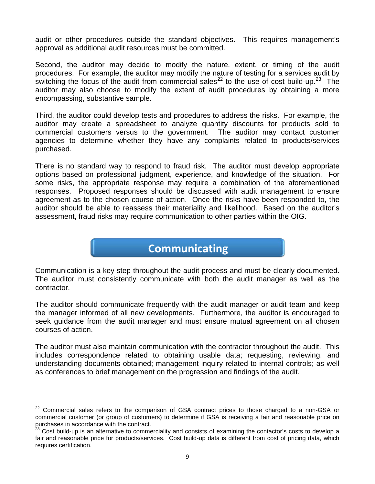audit or other procedures outside the standard objectives. This requires management's approval as additional audit resources must be committed.

Second, the auditor may decide to modify the nature, extent, or timing of the audit procedures. For example, the auditor may modify the nature of testing for a services audit by switching the focus of the audit from commercial sales<sup>[22](#page-11-0)</sup> to the use of cost build-up.<sup>23</sup> The auditor may also choose to modify the extent of audit procedures by obtaining a more encompassing, substantive sample.

Third, the auditor could develop tests and procedures to address the risks. For example, the auditor may create a spreadsheet to analyze quantity discounts for products sold to commercial customers versus to the government. The auditor may contact customer agencies to determine whether they have any complaints related to products/services purchased.

There is no standard way to respond to fraud risk. The auditor must develop appropriate options based on professional judgment, experience, and knowledge of the situation. For some risks, the appropriate response may require a combination of the aforementioned responses. Proposed responses should be discussed with audit management to ensure agreement as to the chosen course of action. Once the risks have been responded to, the auditor should be able to reassess their materiality and likelihood. Based on the auditor's assessment, fraud risks may require communication to other parties within the OIG.

### **Communicating**

Communication is a key step throughout the audit process and must be clearly documented. The auditor must consistently communicate with both the audit manager as well as the contractor.

The auditor should communicate frequently with the audit manager or audit team and keep the manager informed of all new developments. Furthermore, the auditor is encouraged to seek guidance from the audit manager and must ensure mutual agreement on all chosen courses of action.

The auditor must also maintain communication with the contractor throughout the audit. This includes correspondence related to obtaining usable data; requesting, reviewing, and understanding documents obtained; management inquiry related to internal controls; as well as conferences to brief management on the progression and findings of the audit.

<span id="page-11-0"></span><sup>&</sup>lt;sup>22</sup> Commercial sales refers to the comparison of GSA contract prices to those charged to a non-GSA or commercial customer (or group of customers) to determine if GSA is receiving a fair and reasonable price on purchases in accordance with the contract.

<span id="page-11-1"></span><sup>&</sup>lt;sup>23</sup> Cost build-up is an alternative to commerciality and consists of examining the contactor's costs to develop a fair and reasonable price for products/services. Cost build-up data is different from cost of pricing data, which requires certification.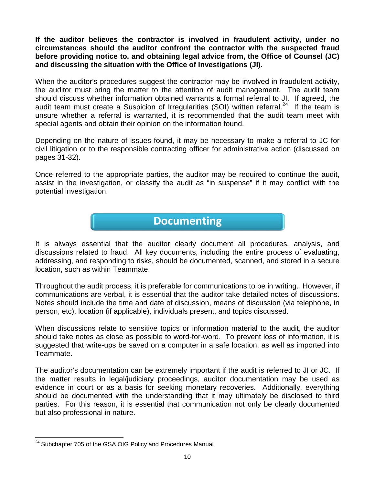**If the auditor believes the contractor is involved in fraudulent activity, under no circumstances should the auditor confront the contractor with the suspected fraud before providing notice to, and obtaining legal advice from, the Office of Counsel (JC) and discussing the situation with the Office of Investigations (JI).**

When the auditor's procedures suggest the contractor may be involved in fraudulent activity, the auditor must bring the matter to the attention of audit management. The audit team should discuss whether information obtained warrants a formal referral to JI. If agreed, the audit team must create a Suspicion of Irregularities (SOI) written referral.<sup>[24](#page-12-0)</sup> If the team is unsure whether a referral is warranted, it is recommended that the audit team meet with special agents and obtain their opinion on the information found.

Depending on the nature of issues found, it may be necessary to make a referral to JC for civil litigation or to the responsible contracting officer for administrative action (discussed on pages 31-32).

Once referred to the appropriate parties, the auditor may be required to continue the audit, assist in the investigation, or classify the audit as "in suspense" if it may conflict with the potential investigation.

### **Documenting**

It is always essential that the auditor clearly document all procedures, analysis, and discussions related to fraud. All key documents, including the entire process of evaluating, addressing, and responding to risks, should be documented, scanned, and stored in a secure location, such as within Teammate.

Throughout the audit process, it is preferable for communications to be in writing. However, if communications are verbal, it is essential that the auditor take detailed notes of discussions. Notes should include the time and date of discussion, means of discussion (via telephone, in person, etc), location (if applicable), individuals present, and topics discussed.

When discussions relate to sensitive topics or information material to the audit, the auditor should take notes as close as possible to word-for-word. To prevent loss of information, it is suggested that write-ups be saved on a computer in a safe location, as well as imported into Teammate.

The auditor's documentation can be extremely important if the audit is referred to JI or JC. If the matter results in legal/judiciary proceedings, auditor documentation may be used as evidence in court or as a basis for seeking monetary recoveries. Additionally, everything should be documented with the understanding that it may ultimately be disclosed to third parties. For this reason, it is essential that communication not only be clearly documented but also professional in nature.

<span id="page-12-0"></span><sup>&</sup>lt;sup>24</sup> Subchapter 705 of the GSA OIG Policy and Procedures Manual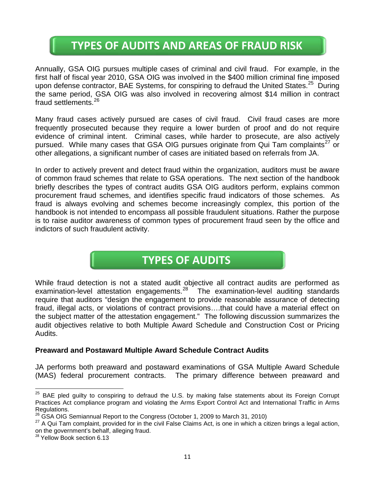## **TYPES OF AUDITS AND AREAS OF FRAUD RISK**

Annually, GSA OIG pursues multiple cases of criminal and civil fraud. For example, in the first half of fiscal year 2010, GSA OIG was involved in the \$400 million criminal fine imposed upon defense contractor, BAE Systems, for conspiring to defraud the United States.<sup>[25](#page-13-0)</sup> During the same period, GSA OIG was also involved in recovering almost \$14 million in contract fraud settlements.<sup>[26](#page-13-1)</sup>

Many fraud cases actively pursued are cases of civil fraud. Civil fraud cases are more frequently prosecuted because they require a lower burden of proof and do not require evidence of criminal intent. Criminal cases, while harder to prosecute, are also actively pursued. While many cases that GSA OIG pursues originate from Qui Tam complaints<sup>[27](#page-13-2)</sup> or other allegations, a significant number of cases are initiated based on referrals from JA.

In order to actively prevent and detect fraud within the organization, auditors must be aware of common fraud schemes that relate to GSA operations. The next section of the handbook briefly describes the types of contract audits GSA OIG auditors perform, explains common procurement fraud schemes, and identifies specific fraud indicators of those schemes. As fraud is always evolving and schemes become increasingly complex, this portion of the handbook is not intended to encompass all possible fraudulent situations. Rather the purpose is to raise auditor awareness of common types of procurement fraud seen by the office and indictors of such fraudulent activity.

## **TYPES OF AUDITS**

While fraud detection is not a stated audit objective all contract audits are performed as examination-level attestation engagements.<sup>[28](#page-13-3)</sup> The examination-level auditing standards require that auditors "design the engagement to provide reasonable assurance of detecting fraud, illegal acts, or violations of contract provisions….that could have a material effect on the subject matter of the attestation engagement." The following discussion summarizes the audit objectives relative to both Multiple Award Schedule and Construction Cost or Pricing Audits.

#### **Preaward and Postaward Multiple Award Schedule Contract Audits**

JA performs both preaward and postaward examinations of GSA Multiple Award Schedule (MAS) federal procurement contracts. The primary difference between preaward and

<span id="page-13-0"></span><sup>&</sup>lt;sup>25</sup> BAE pled guilty to conspiring to defraud the U.S. by making false statements about its Foreign Corrupt Practices Act compliance program and violating the Arms Export Control Act and International Traffic in Arms

Regulations.<br><sup>26</sup> GSA OIG Semiannual Report to the Congress (October 1, 2009 to March 31, 2010)

<span id="page-13-2"></span><span id="page-13-1"></span><sup>27</sup> A Qui Tam complaint, provided for in the civil False Claims Act, is one in which a citizen brings a legal action,<br>on the government's behalf, alleging fraud.

<span id="page-13-3"></span> $\frac{28}{28}$  Yellow Book section 6.13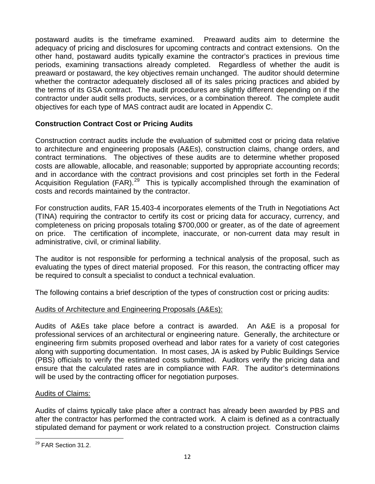postaward audits is the timeframe examined. Preaward audits aim to determine the adequacy of pricing and disclosures for upcoming contracts and contract extensions. On the other hand, postaward audits typically examine the contractor's practices in previous time periods, examining transactions already completed. Regardless of whether the audit is preaward or postaward, the key objectives remain unchanged. The auditor should determine whether the contractor adequately disclosed all of its sales pricing practices and abided by the terms of its GSA contract. The audit procedures are slightly different depending on if the contractor under audit sells products, services, or a combination thereof. The complete audit objectives for each type of MAS contract audit are located in Appendix C.

#### **Construction Contract Cost or Pricing Audits**

Construction contract audits include the evaluation of submitted cost or pricing data relative to architecture and engineering proposals (A&Es), construction claims, change orders, and contract terminations. The objectives of these audits are to determine whether proposed costs are allowable, allocable, and reasonable; supported by appropriate accounting records; and in accordance with the contract provisions and cost principles set forth in the Federal Acquisition Regulation (FAR).<sup>[29](#page-14-0)</sup> This is typically accomplished through the examination of costs and records maintained by the contractor.

For construction audits, FAR 15.403-4 incorporates elements of the Truth in Negotiations Act (TINA) requiring the contractor to certify its cost or pricing data for accuracy, currency, and completeness on pricing proposals totaling \$700,000 or greater, as of the date of agreement on price. The certification of incomplete, inaccurate, or non-current data may result in administrative, civil, or criminal liability.

The auditor is not responsible for performing a technical analysis of the proposal, such as evaluating the types of direct material proposed. For this reason, the contracting officer may be required to consult a specialist to conduct a technical evaluation.

The following contains a brief description of the types of construction cost or pricing audits:

#### Audits of Architecture and Engineering Proposals (A&Es):

Audits of A&Es take place before a contract is awarded. An A&E is a proposal for professional services of an architectural or engineering nature. Generally, the architecture or engineering firm submits proposed overhead and labor rates for a variety of cost categories along with supporting documentation. In most cases, JA is asked by Public Buildings Service (PBS) officials to verify the estimated costs submitted. Auditors verify the pricing data and ensure that the calculated rates are in compliance with FAR. The auditor's determinations will be used by the contracting officer for negotiation purposes.

#### Audits of Claims:

Audits of claims typically take place after a contract has already been awarded by PBS and after the contractor has performed the contracted work. A claim is defined as a contractually stipulated demand for payment or work related to a construction project. Construction claims

<span id="page-14-0"></span><sup>&</sup>lt;sup>29</sup> FAR Section 31.2.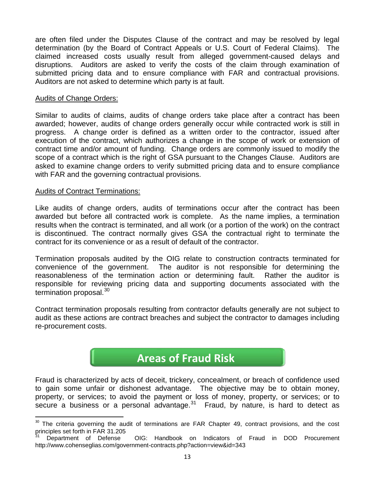are often filed under the Disputes Clause of the contract and may be resolved by legal determination (by the Board of Contract Appeals or U.S. Court of Federal Claims). The claimed increased costs usually result from alleged government-caused delays and disruptions. Auditors are asked to verify the costs of the claim through examination of submitted pricing data and to ensure compliance with FAR and contractual provisions. Auditors are not asked to determine which party is at fault.

#### Audits of Change Orders:

Similar to audits of claims, audits of change orders take place after a contract has been awarded; however, audits of change orders generally occur while contracted work is still in progress. A change order is defined as a written order to the contractor, issued after execution of the contract, which authorizes a change in the scope of work or extension of contract time and/or amount of funding. Change orders are commonly issued to modify the scope of a contract which is the right of GSA pursuant to the Changes Clause. Auditors are asked to examine change orders to verify submitted pricing data and to ensure compliance with FAR and the governing contractual provisions.

#### Audits of Contract Terminations:

Like audits of change orders, audits of terminations occur after the contract has been awarded but before all contracted work is complete. As the name implies, a termination results when the contract is terminated, and all work (or a portion of the work) on the contract is discontinued. The contract normally gives GSA the contractual right to terminate the contract for its convenience or as a result of default of the contractor.

Termination proposals audited by the OIG relate to construction contracts terminated for convenience of the government. The auditor is not responsible for determining the reasonableness of the termination action or determining fault. Rather the auditor is responsible for reviewing pricing data and supporting documents associated with the termination proposal.<sup>[30](#page-15-0)</sup>

Contract termination proposals resulting from contractor defaults generally are not subject to audit as these actions are contract breaches and subject the contractor to damages including re-procurement costs.

### **Areas of Fraud Risk**

Fraud is characterized by acts of deceit, trickery, concealment, or breach of confidence used to gain some unfair or dishonest advantage. The objective may be to obtain money, property, or services; to avoid the payment or loss of money, property, or services; or to secure a business or a personal advantage. $31$  Fraud, by nature, is hard to detect as

<span id="page-15-0"></span><sup>&</sup>lt;sup>30</sup> The criteria governing the audit of terminations are FAR Chapter 49, contract provisions, and the cost principles set forth in FAR 31.205

<span id="page-15-1"></span><sup>31</sup> Department of Defense OIG: Handbook on Indicators of Fraud in DOD Procurement http://www.cohenseglias.com/government-contracts.php?action=view&id=343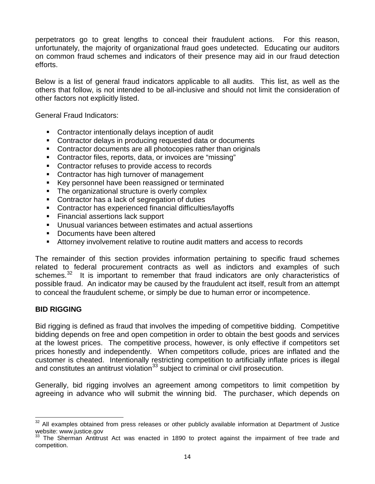perpetrators go to great lengths to conceal their fraudulent actions. For this reason, unfortunately, the majority of organizational fraud goes undetected. Educating our auditors on common fraud schemes and indicators of their presence may aid in our fraud detection efforts.

Below is a list of general fraud indicators applicable to all audits. This list, as well as the others that follow, is not intended to be all-inclusive and should not limit the consideration of other factors not explicitly listed.

General Fraud Indicators:

- Contractor intentionally delays inception of audit
- **EXECONTER CONTERCTS** CONTROLLEY TO CONTROLLEY CONTROLLEYS CONTROLLEYS CONTROLLEYS CONTROLLEYS CONTROLLEYS CONTROLLEYS CONTROLLEYS CONTROLLEYS CONTROLLEYS CONTROLLEYS CONTROLLEYS CONTROLLEYS CONTROLLEYS CONTROLLEYS CONTROL
- Contractor documents are all photocopies rather than originals
- Contractor files, reports, data, or invoices are "missing"
- Contractor refuses to provide access to records
- **Contractor has high turnover of management**
- Key personnel have been reassigned or terminated
- The organizational structure is overly complex
- Contractor has a lack of segregation of duties
- Contractor has experienced financial difficulties/layoffs
- **Financial assertions lack support**
- Unusual variances between estimates and actual assertions
- Documents have been altered
- Attorney involvement relative to routine audit matters and access to records

The remainder of this section provides information pertaining to specific fraud schemes related to federal procurement contracts as well as indictors and examples of such schemes.<sup>[32](#page-16-0)</sup> It is important to remember that fraud indicators are only characteristics of possible fraud. An indicator may be caused by the fraudulent act itself, result from an attempt to conceal the fraudulent scheme, or simply be due to human error or incompetence.

#### **BID RIGGING**

Bid rigging is defined as fraud that involves the impeding of competitive bidding. Competitive bidding depends on free and open competition in order to obtain the best goods and services at the lowest prices. The competitive process, however, is only effective if competitors set prices honestly and independently. When competitors collude, prices are inflated and the customer is cheated. Intentionally restricting competition to artificially inflate prices is illegal and constitutes an antitrust violation<sup>[33](#page-16-1)</sup> subject to criminal or civil prosecution.

Generally, bid rigging involves an agreement among competitors to limit competition by agreeing in advance who will submit the winning bid. The purchaser, which depends on

<span id="page-16-0"></span><sup>&</sup>lt;sup>32</sup> All examples obtained from press releases or other publicly available information at Department of Justice website: www.justice.gov

<span id="page-16-1"></span> $33$  The Sherman Antitrust Act was enacted in 1890 to protect against the impairment of free trade and competition.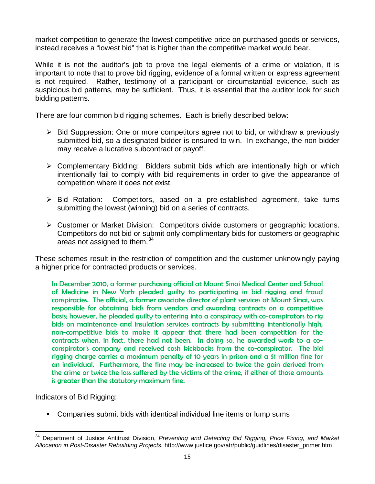market competition to generate the lowest competitive price on purchased goods or services, instead receives a "lowest bid" that is higher than the competitive market would bear.

While it is not the auditor's job to prove the legal elements of a crime or violation, it is important to note that to prove bid rigging, evidence of a formal written or express agreement is not required. Rather, testimony of a participant or circumstantial evidence, such as suspicious bid patterns, may be sufficient. Thus, it is essential that the auditor look for such bidding patterns.

There are four common bid rigging schemes. Each is briefly described below:

- $\triangleright$  Bid Suppression: One or more competitors agree not to bid, or withdraw a previously submitted bid, so a designated bidder is ensured to win. In exchange, the non-bidder may receive a lucrative subcontract or payoff.
- $\triangleright$  Complementary Bidding: Bidders submit bids which are intentionally high or which intentionally fail to comply with bid requirements in order to give the appearance of competition where it does not exist.
- > Bid Rotation: Competitors, based on a pre-established agreement, take turns submitting the lowest (winning) bid on a series of contracts.
- Customer or Market Division: Competitors divide customers or geographic locations. Competitors do not bid or submit only complimentary bids for customers or geographic areas not assigned to them.<sup>[34](#page-17-0)</sup>

These schemes result in the restriction of competition and the customer unknowingly paying a higher price for contracted products or services.

In December 2010, a former purchasing official at Mount Sinai Medical Center and School of Medicine in New York pleaded guilty to participating in bid rigging and fraud conspiracies. The official, a former associate director of plant services at Mount Sinai, was responsible for obtaining bids from vendors and awarding contracts on a competitive basis; however, he pleaded guilty to entering into a conspiracy with co-conspirators to rig bids on maintenance and insulation services contracts by submitting intentionally high, non-competitive bids to make it appear that there had been competition for the contracts when, in fact, there had not been. In doing so, he awarded work to a coconspirator's company and received cash kickbacks from the co-conspirator. The bid rigging charge carries a maximum penalty of 10 years in prison and a \$1 million fine for an individual. Furthermore, the fine may be increased to twice the gain derived from the crime or twice the loss suffered by the victims of the crime, if either of those amounts is greater than the statutory maximum fine.

Indicators of Bid Rigging:

Companies submit bids with identical individual line items or lump sums

<span id="page-17-0"></span><sup>34</sup> Department of Justice Antitrust Division, *Preventing and Detecting Bid Rigging, Price Fixing, and Market Allocation in Post-Disaster Rebuilding Projects.* http://www.justice.gov/atr/public/guidlines/disaster\_primer.htm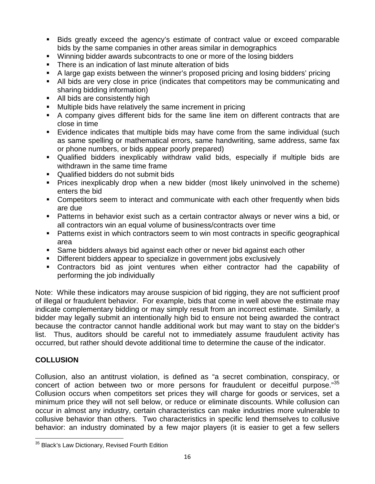- Bids greatly exceed the agency's estimate of contract value or exceed comparable bids by the same companies in other areas similar in demographics
- Winning bidder awards subcontracts to one or more of the losing bidders
- There is an indication of last minute alteration of bids
- A large gap exists between the winner's proposed pricing and losing bidders' pricing
- All bids are very close in price (indicates that competitors may be communicating and sharing bidding information)
- All bids are consistently high
- **Multiple bids have relatively the same increment in pricing**
- A company gives different bids for the same line item on different contracts that are close in time
- Evidence indicates that multiple bids may have come from the same individual (such as same spelling or mathematical errors, same handwriting, same address, same fax or phone numbers, or bids appear poorly prepared)
- Qualified bidders inexplicably withdraw valid bids, especially if multiple bids are withdrawn in the same time frame
- Qualified bidders do not submit bids
- Prices inexplicably drop when a new bidder (most likely uninvolved in the scheme) enters the bid
- Competitors seem to interact and communicate with each other frequently when bids are due
- Patterns in behavior exist such as a certain contractor always or never wins a bid, or all contractors win an equal volume of business/contracts over time
- Patterns exist in which contractors seem to win most contracts in specific geographical area
- Same bidders always bid against each other or never bid against each other
- **Different bidders appear to specialize in government jobs exclusively**
- Contractors bid as joint ventures when either contractor had the capability of performing the job individually

Note: While these indicators may arouse suspicion of bid rigging, they are not sufficient proof of illegal or fraudulent behavior. For example, bids that come in well above the estimate may indicate complementary bidding or may simply result from an incorrect estimate. Similarly, a bidder may legally submit an intentionally high bid to ensure not being awarded the contract because the contractor cannot handle additional work but may want to stay on the bidder's list. Thus, auditors should be careful not to immediately assume fraudulent activity has occurred, but rather should devote additional time to determine the cause of the indicator.

#### **COLLUSION**

Collusion, also an antitrust violation, is defined as "a secret combination, conspiracy, or concert of action between two or more persons for fraudulent or deceitful purpose."<sup>[35](#page-18-0)</sup> Collusion occurs when competitors set prices they will charge for goods or services, set a minimum price they will not sell below, or reduce or eliminate discounts. While collusion can occur in almost any industry, certain characteristics can make industries more vulnerable to collusive behavior than others. Two characteristics in specific lend themselves to collusive behavior: an industry dominated by a few major players (it is easier to get a few sellers

<span id="page-18-0"></span><sup>&</sup>lt;sup>35</sup> Black's Law Dictionary, Revised Fourth Edition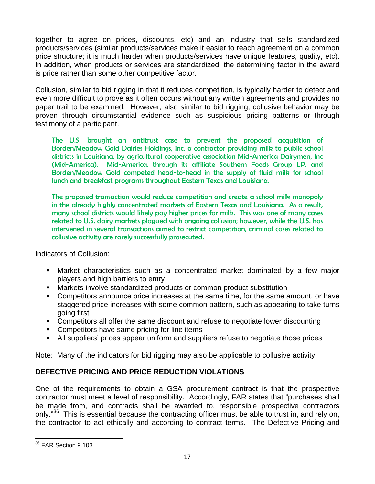together to agree on prices, discounts, etc) and an industry that sells standardized products/services (similar products/services make it easier to reach agreement on a common price structure; it is much harder when products/services have unique features, quality, etc). In addition, when products or services are standardized, the determining factor in the award is price rather than some other competitive factor.

Collusion, similar to bid rigging in that it reduces competition, is typically harder to detect and even more difficult to prove as it often occurs without any written agreements and provides no paper trail to be examined. However, also similar to bid rigging, collusive behavior may be proven through circumstantial evidence such as suspicious pricing patterns or through testimony of a participant.

The U.S. brought an antitrust case to prevent the proposed acquisition of Borden/Meadow Gold Dairies Holdings, Inc, a contractor providing milk to public school districts in Louisiana, by agricultural cooperative association Mid-America Dairymen, Inc (Mid-America). Mid-America, through its affiliate Southern Foods Group LP, and Borden/Meadow Gold competed head-to-head in the supply of fluid milk for school lunch and breakfast programs throughout Eastern Texas and Louisiana.

The proposed transaction would reduce competition and create a school milk monopoly in the already highly concentrated markets of Eastern Texas and Louisiana. As a result, many school districts would likely pay higher prices for milk. This was one of many cases related to U.S. dairy markets plagued with ongoing collusion; however, while the U.S. has intervened in several transactions aimed to restrict competition, criminal cases related to collusive activity are rarely successfully prosecuted.

Indicators of Collusion:

- Market characteristics such as a concentrated market dominated by a few major players and high barriers to entry
- Markets involve standardized products or common product substitution
- **Competitors announce price increases at the same time, for the same amount, or have** staggered price increases with some common pattern, such as appearing to take turns going first
- Competitors all offer the same discount and refuse to negotiate lower discounting
- Competitors have same pricing for line items
- All suppliers' prices appear uniform and suppliers refuse to negotiate those prices

Note: Many of the indicators for bid rigging may also be applicable to collusive activity.

#### **DEFECTIVE PRICING AND PRICE REDUCTION VIOLATIONS**

One of the requirements to obtain a GSA procurement contract is that the prospective contractor must meet a level of responsibility. Accordingly, FAR states that "purchases shall be made from, and contracts shall be awarded to, responsible prospective contractors only."<sup>[36](#page-19-0)</sup> This is essential because the contracting officer must be able to trust in, and rely on, the contractor to act ethically and according to contract terms. The Defective Pricing and

<span id="page-19-0"></span><sup>36</sup> FAR Section 9.103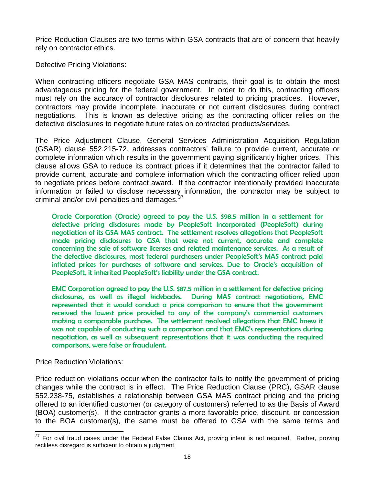Price Reduction Clauses are two terms within GSA contracts that are of concern that heavily rely on contractor ethics.

Defective Pricing Violations:

When contracting officers negotiate GSA MAS contracts, their goal is to obtain the most advantageous pricing for the federal government. In order to do this, contracting officers must rely on the accuracy of contractor disclosures related to pricing practices. However, contractors may provide incomplete, inaccurate or not current disclosures during contract negotiations. This is known as defective pricing as the contracting officer relies on the defective disclosures to negotiate future rates on contracted products/services.

The Price Adjustment Clause, General Services Administration Acquisition Regulation (GSAR) clause 552.215-72, addresses contractors' failure to provide current, accurate or complete information which results in the government paying significantly higher prices. This clause allows GSA to reduce its contract prices if it determines that the contractor failed to provide current, accurate and complete information which the contracting officer relied upon to negotiate prices before contract award. If the contractor intentionally provided inaccurate information or failed to disclose necessary information, the contractor may be subject to criminal and/or civil penalties and damages.<sup>3</sup>

Oracle Corporation (Oracle) agreed to pay the U.S. \$98.5 million in a settlement for defective pricing disclosures made by PeopleSoft Incorporated (PeopleSoft) during negotiation of its GSA MAS contract. The settlement resolves allegations that PeopleSoft made pricing disclosures to GSA that were not current, accurate and complete concerning the sale of software licenses and related maintenance services. As a result of the defective disclosures, most federal purchasers under PeopleSoft's MAS contract paid inflated prices for purchases of software and services. Due to Oracle's acquisition of PeopleSoft, it inherited PeopleSoft's liability under the GSA contract.

EMC Corporation agreed to pay the U.S. \$87.5 million in a settlement for defective pricing disclosures, as well as illegal kickbacks. During MAS contract negotiations, EMC represented that it would conduct a price comparison to ensure that the government received the lowest price provided to any of the company's commercial customers making a comparable purchase. The settlement resolved allegations that EMC knew it was not capable of conducting such a comparison and that EMC's representations during negotiation, as well as subsequent representations that it was conducting the required comparisons, were false or fraudulent.

Price Reduction Violations:

Price reduction violations occur when the contractor fails to notify the government of pricing changes while the contract is in effect. The Price Reduction Clause (PRC), GSAR clause 552.238-75, establishes a relationship between GSA MAS contract pricing and the pricing offered to an identified customer (or category of customers) referred to as the Basis of Award (BOA) customer(s). If the contractor grants a more favorable price, discount, or concession to the BOA customer(s), the same must be offered to GSA with the same terms and

<span id="page-20-0"></span><sup>&</sup>lt;sup>37</sup> For civil fraud cases under the Federal False Claims Act, proving intent is not required. Rather, proving reckless disregard is sufficient to obtain a judgment.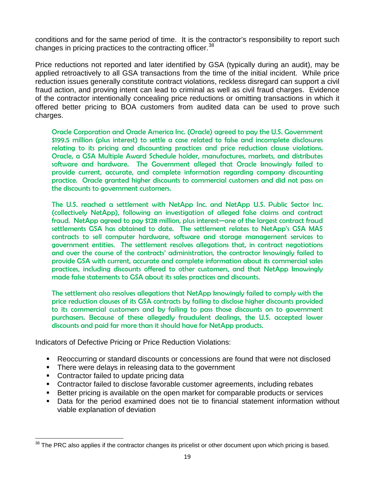conditions and for the same period of time. It is the contractor's responsibility to report such changes in pricing practices to the contracting officer.<sup>[38](#page-21-0)</sup>

Price reductions not reported and later identified by GSA (typically during an audit), may be applied retroactively to all GSA transactions from the time of the initial incident. While price reduction issues generally constitute contract violations, reckless disregard can support a civil fraud action, and proving intent can lead to criminal as well as civil fraud charges. Evidence of the contractor intentionally concealing price reductions or omitting transactions in which it offered better pricing to BOA customers from audited data can be used to prove such charges.

Oracle Corporation and Oracle America Inc. (Oracle) agreed to pay the U.S. Government \$199.5 million (plus interest) to settle a case related to false and incomplete disclosures relating to its pricing and discounting practices and price reduction clause violations. Oracle, a GSA Multiple Award Schedule holder, manufactures, markets, and distributes software and hardware. The Government alleged that Oracle knowingly failed to provide current, accurate, and complete information regarding company discounting practice. Oracle granted higher discounts to commercial customers and did not pass on the discounts to government customers.

The U.S. reached a settlement with NetApp Inc. and NetApp U.S. Public Sector Inc. (collectively NetApp), following an investigation of alleged false claims and contract fraud. NetApp agreed to pay \$128 million, plus interest—one of the largest contract fraud settlements GSA has obtained to date. The settlement relates to NetApp's GSA MAS contracts to sell computer hardware, software and storage management services to government entities. The settlement resolves allegations that, in contract negotiations and over the course of the contracts' administration, the contractor knowingly failed to provide GSA with current, accurate and complete information about its commercial sales practices, including discounts offered to other customers, and that NetApp knowingly made false statements to GSA about its sales practices and discounts.

The settlement also resolves allegations that NetApp knowingly failed to comply with the price reduction clauses of its GSA contracts by failing to disclose higher discounts provided to its commercial customers and by failing to pass those discounts on to government purchasers. Because of these allegedly fraudulent dealings, the U.S. accepted lower discounts and paid far more than it should have for NetApp products.

Indicators of Defective Pricing or Price Reduction Violations:

- Reoccurring or standard discounts or concessions are found that were not disclosed
- There were delays in releasing data to the government
- Contractor failed to update pricing data
- Contractor failed to disclose favorable customer agreements, including rebates
- Better pricing is available on the open market for comparable products or services
- Data for the period examined does not tie to financial statement information without viable explanation of deviation

<span id="page-21-0"></span><sup>&</sup>lt;sup>38</sup> The PRC also applies if the contractor changes its pricelist or other document upon which pricing is based.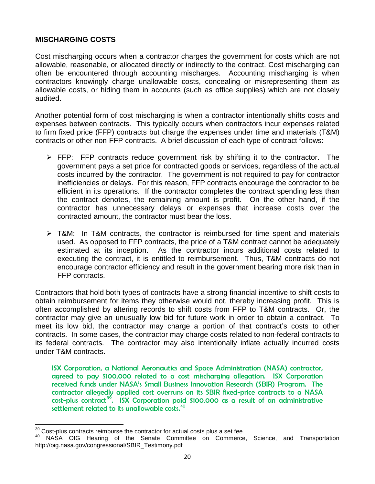#### **MISCHARGING COSTS**

Cost mischarging occurs when a contractor charges the government for costs which are not allowable, reasonable, or allocated directly or indirectly to the contract. Cost mischarging can often be encountered through accounting mischarges. Accounting mischarging is when contractors knowingly charge unallowable costs, concealing or misrepresenting them as allowable costs, or hiding them in accounts (such as office supplies) which are not closely audited.

Another potential form of cost mischarging is when a contractor intentionally shifts costs and expenses between contracts. This typically occurs when contractors incur expenses related to firm fixed price (FFP) contracts but charge the expenses under time and materials (T&M) contracts or other non-FFP contracts. A brief discussion of each type of contract follows:

- $\triangleright$  FFP: FFP contracts reduce government risk by shifting it to the contractor. The government pays a set price for contracted goods or services, regardless of the actual costs incurred by the contractor. The government is not required to pay for contractor inefficiencies or delays. For this reason, FFP contracts encourage the contractor to be efficient in its operations. If the contractor completes the contract spending less than the contract denotes, the remaining amount is profit. On the other hand, if the contractor has unnecessary delays or expenses that increase costs over the contracted amount, the contractor must bear the loss.
- $\triangleright$  T&M: In T&M contracts, the contractor is reimbursed for time spent and materials used. As opposed to FFP contracts, the price of a T&M contract cannot be adequately estimated at its inception. As the contractor incurs additional costs related to executing the contract, it is entitled to reimbursement. Thus, T&M contracts do not encourage contractor efficiency and result in the government bearing more risk than in FFP contracts.

Contractors that hold both types of contracts have a strong financial incentive to shift costs to obtain reimbursement for items they otherwise would not, thereby increasing profit. This is often accomplished by altering records to shift costs from FFP to T&M contracts. Or, the contractor may give an unusually low bid for future work in order to obtain a contract. To meet its low bid, the contractor may charge a portion of that contract's costs to other contracts. In some cases, the contractor may charge costs related to non-federal contracts to its federal contracts. The contractor may also intentionally inflate actually incurred costs under T&M contracts.

ISX Corporation, a National Aeronautics and Space Administration (NASA) contractor, agreed to pay \$100,000 related to a cost mischarging allegation. ISX Corporation received funds under NASA's Small Business Innovation Research (SBIR) Program. The contractor allegedly applied cost overruns on its SBIR fixed-price contracts to a NASA  $cost$ -plus contract<sup>[39](#page-22-0)</sup>. ISX Corporation paid \$100,000 as a result of an administrative settlement related to its unallowable costs.<sup>[40](#page-22-1)</sup>

<span id="page-22-1"></span><span id="page-22-0"></span> $39$  Cost-plus contracts reimburse the contractor for actual costs plus a set fee.<br> $40$  NASA OIG Hearing of the Senate Committee on Commerce, Science, and Transportation http://oig.nasa.gov/congressional/SBIR\_Testimony.pdf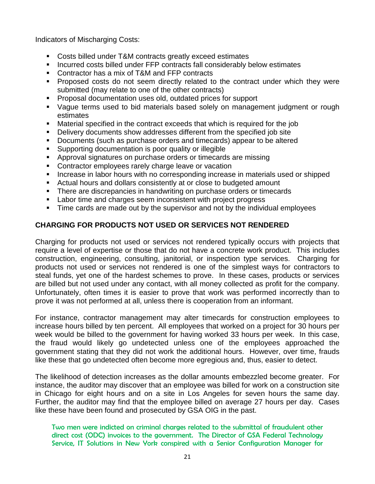Indicators of Mischarging Costs:

- Costs billed under T&M contracts greatly exceed estimates
- **Incurred costs billed under FFP contracts fall considerably below estimates**
- Contractor has a mix of T&M and FFP contracts
- **Proposed costs do not seem directly related to the contract under which they were** submitted (may relate to one of the other contracts)
- **Proposal documentation uses old, outdated prices for support**
- Vague terms used to bid materials based solely on management judgment or rough estimates
- Material specified in the contract exceeds that which is required for the job
- Delivery documents show addresses different from the specified job site
- Documents (such as purchase orders and timecards) appear to be altered
- Supporting documentation is poor quality or illegible
- **Approval signatures on purchase orders or timecards are missing**
- **Contractor employees rarely charge leave or vacation**
- **Increase in labor hours with no corresponding increase in materials used or shipped**
- Actual hours and dollars consistently at or close to budgeted amount
- There are discrepancies in handwriting on purchase orders or timecards
- **EXECT:** Labor time and charges seem inconsistent with project progress
- **Time cards are made out by the supervisor and not by the individual employees**

#### **CHARGING FOR PRODUCTS NOT USED OR SERVICES NOT RENDERED**

Charging for products not used or services not rendered typically occurs with projects that require a level of expertise or those that do not have a concrete work product. This includes construction, engineering, consulting, janitorial, or inspection type services. Charging for products not used or services not rendered is one of the simplest ways for contractors to steal funds, yet one of the hardest schemes to prove. In these cases, products or services are billed but not used under any contact, with all money collected as profit for the company. Unfortunately, often times it is easier to prove that work was performed incorrectly than to prove it was not performed at all, unless there is cooperation from an informant.

For instance, contractor management may alter timecards for construction employees to increase hours billed by ten percent. All employees that worked on a project for 30 hours per week would be billed to the government for having worked 33 hours per week. In this case, the fraud would likely go undetected unless one of the employees approached the government stating that they did not work the additional hours. However, over time, frauds like these that go undetected often become more egregious and, thus, easier to detect.

The likelihood of detection increases as the dollar amounts embezzled become greater. For instance, the auditor may discover that an employee was billed for work on a construction site in Chicago for eight hours and on a site in Los Angeles for seven hours the same day. Further, the auditor may find that the employee billed on average 27 hours per day. Cases like these have been found and prosecuted by GSA OIG in the past.

Two men were indicted on criminal charges related to the submittal of fraudulent other direct cost (ODC) invoices to the government. The Director of GSA Federal Technology Service, IT Solutions in New York conspired with a Senior Configuration Manager for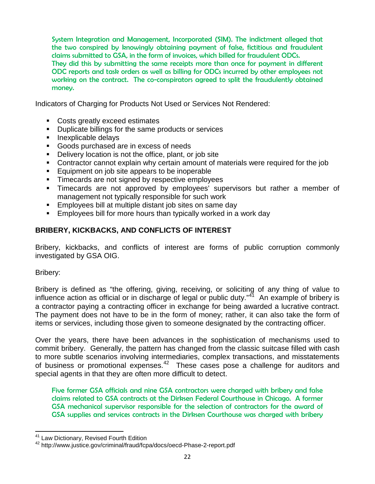System Integration and Management, Incorporated (SIM). The indictment alleged that the two conspired by knowingly obtaining payment of false, fictitious and fraudulent claims submitted to GSA, in the form of invoices, which billed for fraudulent ODCs. They did this by submitting the same receipts more than once for payment in different ODC reports and task orders as well as billing for ODCs incurred by other employees not

working on the contract. The co-conspirators agreed to split the fraudulently obtained money.

Indicators of Charging for Products Not Used or Services Not Rendered:

- Costs greatly exceed estimates
- Duplicate billings for the same products or services
- **Inexplicable delays**
- Goods purchased are in excess of needs
- Delivery location is not the office, plant, or job site
- Contractor cannot explain why certain amount of materials were required for the job
- Equipment on job site appears to be inoperable
- **Timecards are not signed by respective employees**
- Timecards are not approved by employees' supervisors but rather a member of management not typically responsible for such work
- **Employees bill at multiple distant job sites on same day**
- **Employees bill for more hours than typically worked in a work day**

#### **BRIBERY, KICKBACKS, AND CONFLICTS OF INTEREST**

Bribery, kickbacks, and conflicts of interest are forms of public corruption commonly investigated by GSA OIG.

Bribery:

Bribery is defined as "the offering, giving, receiving, or soliciting of any thing of value to influence action as official or in discharge of legal or public duty."[41](#page-24-0) An example of bribery is a contractor paying a contracting officer in exchange for being awarded a lucrative contract. The payment does not have to be in the form of money; rather, it can also take the form of items or services, including those given to someone designated by the contracting officer.

Over the years, there have been advances in the sophistication of mechanisms used to commit bribery. Generally, the pattern has changed from the classic suitcase filled with cash to more subtle scenarios involving intermediaries, complex transactions, and misstatements of business or promotional expenses.<sup>[42](#page-24-1)</sup> These cases pose a challenge for auditors and special agents in that they are often more difficult to detect.

Five former GSA officials and nine GSA contractors were charged with bribery and false claims related to GSA contracts at the Dirksen Federal Courthouse in Chicago. A former GSA mechanical supervisor responsible for the selection of contractors for the award of GSA supplies and services contracts in the Dirksen Courthouse was charged with bribery

<span id="page-24-1"></span><span id="page-24-0"></span><sup>&</sup>lt;sup>41</sup> Law Dictionary, Revised Fourth Edition<br><sup>42</sup> http://www.justice.gov/criminal/fraud/fcpa/docs/oecd-Phase-2-report.pdf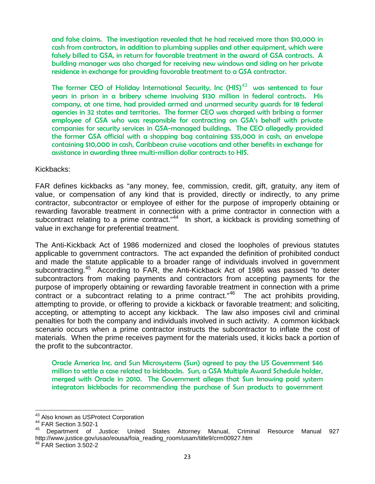and false claims. The investigation revealed that he had received more than \$10,000 in cash from contractors, in addition to plumbing supplies and other equipment, which were falsely billed to GSA, in return for favorable treatment in the award of GSA contracts. A building manager was also charged for receiving new windows and siding on her private residence in exchange for providing favorable treatment to a GSA contractor.

The former CEO of Holiday International Security, Inc  $\left(\mathsf{HIS}\right)^{43}$  $\left(\mathsf{HIS}\right)^{43}$  $\left(\mathsf{HIS}\right)^{43}$  was sentenced to four years in prison in a bribery scheme involving \$130 million in federal contracts. His company, at one time, had provided armed and unarmed security guards for 18 federal agencies in 32 states and territories. The former CEO was charged with bribing a former employee of GSA who was responsible for contracting on GSA's behalf with private companies for security services in GSA-managed buildings. The CEO allegedly provided the former GSA official with a shopping bag containing \$35,000 in cash, an envelope containing \$10,000 in cash, Caribbean cruise vacations and other benefits in exchange for assistance in awarding three multi-million dollar contracts to HIS.

Kickbacks:

FAR defines kickbacks as "any money, fee, commission, credit, gift, gratuity, any item of value, or compensation of any kind that is provided, directly or indirectly, to any prime contractor, subcontractor or employee of either for the purpose of improperly obtaining or rewarding favorable treatment in connection with a prime contractor in connection with a subcontract relating to a prime contract."<sup>[44](#page-25-1)</sup> In short, a kickback is providing something of value in exchange for preferential treatment.

The Anti-Kickback Act of 1986 modernized and closed the loopholes of previous statutes applicable to government contractors. The act expanded the definition of prohibited conduct and made the statute applicable to a broader range of individuals involved in government subcontracting.<sup>[45](#page-25-2)</sup> According to FAR, the Anti-Kickback Act of 1986 was passed "to deter subcontractors from making payments and contractors from accepting payments for the purpose of improperly obtaining or rewarding favorable treatment in connection with a prime contract or a subcontract relating to a prime contract."<sup>46</sup> The act prohibits providing, attempting to provide, or offering to provide a kickback or favorable treatment; and soliciting, accepting, or attempting to accept any kickback. The law also imposes civil and criminal penalties for both the company and individuals involved in such activity. A common kickback scenario occurs when a prime contractor instructs the subcontractor to inflate the cost of materials. When the prime receives payment for the materials used, it kicks back a portion of the profit to the subcontractor.

Oracle America Inc. and Sun Microsystems (Sun) agreed to pay the US Government \$46 million to settle a case related to kickbacks. Sun, a GSA Multiple Award Schedule holder, merged with Oracle in 2010. The Government alleges that Sun knowing paid system integrators kickbacks for recommending the purchase of Sun products to government

<span id="page-25-1"></span><span id="page-25-0"></span><sup>&</sup>lt;sup>43</sup> Also known as USProtect Corporation<br><sup>44</sup> FAR Section 3.502-1

<span id="page-25-2"></span><sup>45</sup> Department of Justice: United States Attorney Manual, Criminal Resource Manual 927 http://www.justice.gov/usao/eousa/foia\_reading\_room/usam/title9/crm00927.htm<br><sup>46</sup> FAR Section 3.502-2

<span id="page-25-3"></span>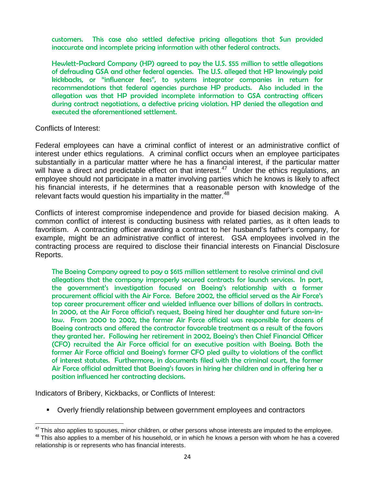customers. This case also settled defective pricing allegations that Sun provided inaccurate and incomplete pricing information with other federal contracts.

Hewlett-Packard Company (HP) agreed to pay the U.S. \$55 million to settle allegations of defrauding GSA and other federal agencies. The U.S. alleged that HP knowingly paid kickbacks, or "influencer fees", to systems integrator companies in return for recommendations that federal agencies purchase HP products. Also included in the allegation was that HP provided incomplete information to GSA contracting officers during contract negotiations, a defective pricing violation. HP denied the allegation and executed the aforementioned settlement.

Conflicts of Interest:

Federal employees can have a criminal conflict of interest or an administrative conflict of interest under ethics regulations. A criminal conflict occurs when an employee participates substantially in a particular matter where he has a financial interest, if the particular matter will have a direct and predictable effect on that interest.<sup>47</sup> Under the ethics regulations, an employee should not participate in a matter involving parties which he knows is likely to affect his financial interests, if he determines that a reasonable person with knowledge of the relevant facts would question his impartiality in the matter.<sup>[48](#page-26-1)</sup>

Conflicts of interest compromise independence and provide for biased decision making. A common conflict of interest is conducting business with related parties, as it often leads to favoritism. A contracting officer awarding a contract to her husband's father's company, for example, might be an administrative conflict of interest. GSA employees involved in the contracting process are required to disclose their financial interests on Financial Disclosure Reports.

The Boeing Company agreed to pay a \$615 million settlement to resolve criminal and civil allegations that the company improperly secured contracts for launch services. In part, the government's investigation focused on Boeing's relationship with a former procurement official with the Air Force. Before 2002, the official served as the Air Force's top career procurement officer and wielded influence over billions of dollars in contracts. In 2000, at the Air Force official's request, Boeing hired her daughter and future son-inlaw. From 2000 to 2002, the former Air Force official was responsible for dozens of Boeing contracts and offered the contractor favorable treatment as a result of the favors they granted her. Following her retirement in 2002, Boeing's then Chief Financial Officer (CFO) recruited the Air Force official for an executive position with Boeing. Both the former Air Force official and Boeing's former CFO pled guilty to violations of the conflict of interest statutes. Furthermore, in documents filed with the criminal court, the former Air Force official admitted that Boeing's favors in hiring her children and in offering her a position influenced her contracting decisions.

Indicators of Bribery, Kickbacks, or Conflicts of Interest:

Overly friendly relationship between government employees and contractors

<span id="page-26-0"></span> $47$  This also applies to spouses, minor children, or other persons whose interests are imputed to the employee.<br> $48$  This also applies to a member of his household, or in which he knows a person with whom he has a covere

<span id="page-26-1"></span>relationship is or represents who has financial interests.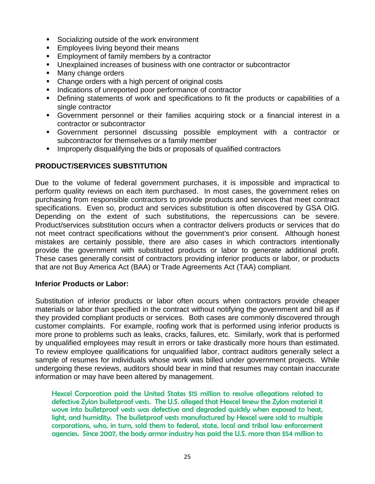- Socializing outside of the work environment
- **Employees living beyond their means**
- **Employment of family members by a contractor**
- Unexplained increases of business with one contractor or subcontractor
- Many change orders
- Change orders with a high percent of original costs
- Indications of unreported poor performance of contractor
- Defining statements of work and specifications to fit the products or capabilities of a single contractor
- Government personnel or their families acquiring stock or a financial interest in a contractor or subcontractor
- Government personnel discussing possible employment with a contractor or subcontractor for themselves or a family member
- **IMPROPERENT IMPROPERTY OF STATE IN ADAPTATION** Integrations **I** contractors

#### **PRODUCT/SERVICES SUBSTITUTION**

Due to the volume of federal government purchases, it is impossible and impractical to perform quality reviews on each item purchased. In most cases, the government relies on purchasing from responsible contractors to provide products and services that meet contract specifications. Even so, product and services substitution is often discovered by GSA OIG. Depending on the extent of such substitutions, the repercussions can be severe. Product/services substitution occurs when a contractor delivers products or services that do not meet contract specifications without the government's prior consent. Although honest mistakes are certainly possible, there are also cases in which contractors intentionally provide the government with substituted products or labor to generate additional profit. These cases generally consist of contractors providing inferior products or labor, or products that are not Buy America Act (BAA) or Trade Agreements Act (TAA) compliant.

#### **Inferior Products or Labor:**

Substitution of inferior products or labor often occurs when contractors provide cheaper materials or labor than specified in the contract without notifying the government and bill as if they provided compliant products or services. Both cases are commonly discovered through customer complaints. For example, roofing work that is performed using inferior products is more prone to problems such as leaks, cracks, failures, etc. Similarly, work that is performed by unqualified employees may result in errors or take drastically more hours than estimated. To review employee qualifications for unqualified labor, contract auditors generally select a sample of resumes for individuals whose work was billed under government projects. While undergoing these reviews, auditors should bear in mind that resumes may contain inaccurate information or may have been altered by management.

Hexcel Corporation paid the United States \$15 million to resolve allegations related to defective Zylon bulletproof vests. The U.S. alleged that Hexcel knew the Zylon material it wove into bulletproof vests was defective and degraded quickly when exposed to heat, light, and humidity. The bulletproof vests manufactured by Hexcel were sold to multiple corporations, who, in turn, sold them to federal, state, local and tribal law enforcement agencies. Since 2007, the body armor industry has paid the U.S. more than \$54 million to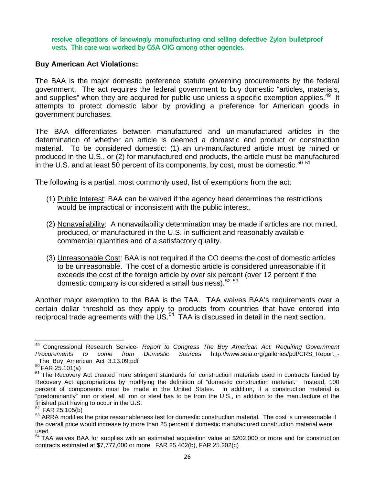resolve allegations of knowingly manufacturing and selling defective Zylon bulletproof vests. This case was worked by GSA OIG among other agencies.

#### **Buy American Act Violations:**

The BAA is the major domestic preference statute governing procurements by the federal government. The act requires the federal government to buy domestic "articles, materials, and supplies" when they are acquired for public use unless a specific exemption applies.<sup>[49](#page-28-0)</sup> It attempts to protect domestic labor by providing a preference for American goods in government purchases.

The BAA differentiates between manufactured and un-manufactured articles in the determination of whether an article is deemed a domestic end product or construction material. To be considered domestic: (1) an un-manufactured article must be mined or produced in the U.S., or (2) for manufactured end products, the article must be manufactured in the U.S. and at least [50](#page-28-1) percent of its components, by cost, must be domestic.<sup>50 [51](#page-28-2)</sup>

The following is a partial, most commonly used, list of exemptions from the act:

- (1) Public Interest: BAA can be waived if the agency head determines the restrictions would be impractical or inconsistent with the public interest.
- (2) Nonavailability: A nonavailability determination may be made if articles are not mined, produced, or manufactured in the U.S. in sufficient and reasonably available commercial quantities and of a satisfactory quality.
- (3) Unreasonable Cost: BAA is not required if the CO deems the cost of domestic articles to be unreasonable. The cost of a domestic article is considered unreasonable if it exceeds the cost of the foreign article by over six percent (over 12 percent if the domestic company is considered a small business).<sup>[52](#page-28-3) [53](#page-28-4)</sup>

Another major exemption to the BAA is the TAA. TAA waives BAA's requirements over a certain dollar threshold as they apply to products from countries that have entered into reciprocal trade agreements with the US.<sup>54</sup> TAA is discussed in detail in the next section.

<span id="page-28-0"></span><sup>49</sup> Congressional Research Service- *Report to Congress The Buy American Act: Requiring Government Procurements to come from Domestic Sources* http://www.seia.org/galleries/pdf/CRS\_Report\_- The\_Buy\_American\_Act\_3.13.09.pdf<br> $^{50}$ FAR 25.101(a)

<span id="page-28-2"></span><span id="page-28-1"></span><sup>&</sup>lt;sup>51</sup> The Recovery Act created more stringent standards for construction materials used in contracts funded by Recovery Act appropriations by modifying the definition of "domestic construction material." Instead, 100 percent of components must be made in the United States. In addition, if a construction material is "predominantly" iron or steel, all iron or steel has to be from the U.S., in addition to the manufacture of the finished part having to occur in the U.S.  $52$  FAR 25.105(b)

<span id="page-28-3"></span>

<span id="page-28-4"></span> $53$  ARRA modifies the price reasonableness test for domestic construction material. The cost is unreasonable if the overall price would increase by more than 25 percent if domestic manufactured construction material were used.

<span id="page-28-5"></span><sup>&</sup>lt;sup>54</sup> TAA waives BAA for supplies with an estimated acquisition value at \$202,000 or more and for construction contracts estimated at \$7,777,000 or more. FAR 25.402(b), FAR 25.202(c)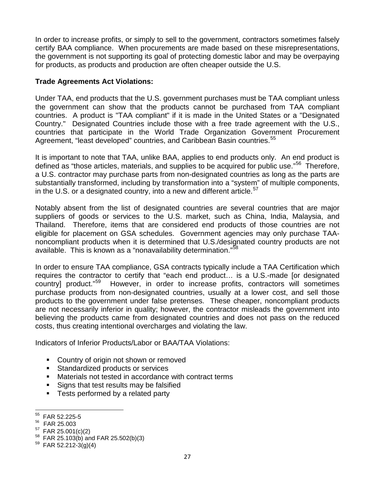In order to increase profits, or simply to sell to the government, contractors sometimes falsely certify BAA compliance. When procurements are made based on these misrepresentations, the government is not supporting its goal of protecting domestic labor and may be overpaying for products, as products and production are often cheaper outside the U.S.

#### **Trade Agreements Act Violations:**

Under TAA, end products that the U.S. government purchases must be TAA compliant unless the government can show that the products cannot be purchased from TAA compliant countries. A product is "TAA compliant" if it is made in the United States or a "Designated Country." Designated Countries include those with a free trade agreement with the U.S., countries that participate in the World Trade Organization Government Procurement Agreement, "least developed" countries, and Caribbean Basin countries.<sup>[55](#page-29-0)</sup>

It is important to note that TAA, unlike BAA, applies to end products only. An end product is defined as "those articles, materials, and supplies to be acquired for public use."<sup>[56](#page-29-1)</sup> Therefore, a U.S. contractor may purchase parts from non-designated countries as long as the parts are substantially transformed, including by transformation into a "system" of multiple components, in the U.S. or a designated country, into a new and different article.<sup>[57](#page-29-2)</sup>

Notably absent from the list of designated countries are several countries that are major suppliers of goods or services to the U.S. market, such as China, India, Malaysia, and Thailand. Therefore, items that are considered end products of those countries are not eligible for placement on GSA schedules. Government agencies may only purchase TAAnoncompliant products when it is determined that U.S./designated country products are not available. This is known as a "nonavailability determination."<sup>[58](#page-29-3)</sup>

In order to ensure TAA compliance, GSA contracts typically include a TAA Certification which requires the contractor to certify that "each end product… is a U.S.-made [or designated country] product."[59](#page-29-4) However, in order to increase profits, contractors will sometimes purchase products from non-designated countries, usually at a lower cost, and sell those products to the government under false pretenses. These cheaper, noncompliant products are not necessarily inferior in quality; however, the contractor misleads the government into believing the products came from designated countries and does not pass on the reduced costs, thus creating intentional overcharges and violating the law.

Indicators of Inferior Products/Labor or BAA/TAA Violations:

- **Country of origin not shown or removed**
- Standardized products or services
- Materials not tested in accordance with contract terms
- Signs that test results may be falsified
- Tests performed by a related party

<span id="page-29-0"></span> $^{55}$  FAR 52.225-5<br>  $^{56}$  FAR 25.003

<span id="page-29-1"></span>

<span id="page-29-3"></span><span id="page-29-2"></span> $^{57}$  FAR 25.001(c)(2)<br><sup>58</sup> FAR 25.103(b) and FAR 25.502(b)(3)<br><sup>59</sup> FAR 52.212-3(g)(4)

<span id="page-29-4"></span>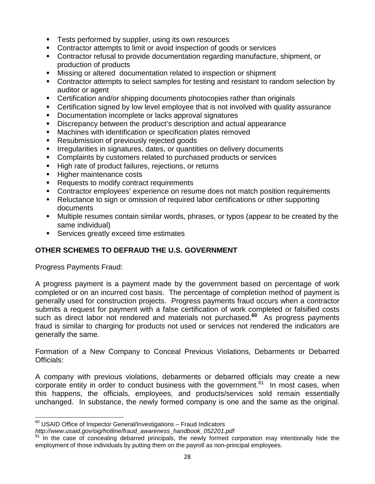- **Tests performed by supplier, using its own resources**
- Contractor attempts to limit or avoid inspection of goods or services
- Contractor refusal to provide documentation regarding manufacture, shipment, or production of products
- Missing or altered documentation related to inspection or shipment
- Contractor attempts to select samples for testing and resistant to random selection by auditor or agent
- Certification and/or shipping documents photocopies rather than originals
- Certification signed by low level employee that is not involved with quality assurance
- **Documentation incomplete or lacks approval signatures**
- Discrepancy between the product's description and actual appearance
- Machines with identification or specification plates removed
- **Resubmission of previously rejected goods**
- **IFFE** Irregularities in signatures, dates, or quantities on delivery documents
- Complaints by customers related to purchased products or services
- High rate of product failures, rejections, or returns
- **Higher maintenance costs**
- Requests to modify contract requirements
- Contractor employees' experience on resume does not match position requirements
- Reluctance to sign or omission of required labor certifications or other supporting documents
- Multiple resumes contain similar words, phrases, or typos (appear to be created by the same individual)
- Services greatly exceed time estimates

#### **OTHER SCHEMES TO DEFRAUD THE U.S. GOVERNMENT**

Progress Payments Fraud:

A progress payment is a payment made by the government based on percentage of work completed or on an incurred cost basis. The percentage of completion method of payment is generally used for construction projects. Progress payments fraud occurs when a contractor submits a request for payment with a false certification of work completed or falsified costs such as direct labor not rendered and materials not purchased.<sup>[60](#page-30-0)</sup> As progress payments fraud is similar to charging for products not used or services not rendered the indicators are generally the same.

Formation of a New Company to Conceal Previous Violations, Debarments or Debarred Officials:

A company with previous violations, debarments or debarred officials may create a new corporate entity in order to conduct business with the government.<sup>[61](#page-30-1)</sup> In most cases, when this happens, the officials, employees, and products/services sold remain essentially unchanged. In substance, the newly formed company is one and the same as the original.

<span id="page-30-0"></span><sup>&</sup>lt;sup>60</sup> USAID Office of Inspector General/Investigations - Fraud Indicators

*http://www.usaid.gov/oig/hotline/fraud\_awareness\_handbook\_052201.pdf*

<span id="page-30-1"></span> $61$  In the case of concealing debarred principals, the newly formed corporation may intentionally hide the employment of those individuals by putting them on the payroll as non-principal employees.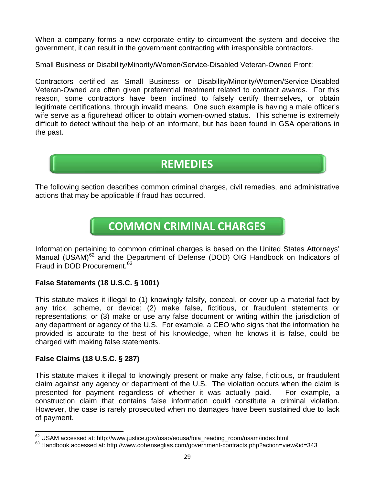When a company forms a new corporate entity to circumvent the system and deceive the government, it can result in the government contracting with irresponsible contractors.

Small Business or Disability/Minority/Women/Service-Disabled Veteran-Owned Front:

Contractors certified as Small Business or Disability/Minority/Women/Service-Disabled Veteran-Owned are often given preferential treatment related to contract awards. For this reason, some contractors have been inclined to falsely certify themselves, or obtain legitimate certifications, through invalid means. One such example is having a male officer's wife serve as a figurehead officer to obtain women-owned status. This scheme is extremely difficult to detect without the help of an informant, but has been found in GSA operations in the past.

## **REMEDIES**

The following section describes common criminal charges, civil remedies, and administrative actions that may be applicable if fraud has occurred.

## **COMMON CRIMINAL CHARGES**

Information pertaining to common criminal charges is based on the United States Attorneys' Manual (USAM)<sup>[62](#page-31-0)</sup> and the Department of Defense (DOD) OIG Handbook on Indicators of Fraud in DOD Procurement. [63](#page-31-1)

#### **False Statements (18 U.S.C. § 1001)**

This statute makes it illegal to (1) knowingly falsify, conceal, or cover up a material fact by any trick, scheme, or device; (2) make false, fictitious, or fraudulent statements or representations; or (3) make or use any false document or writing within the jurisdiction of any department or agency of the U.S. For example, a CEO who signs that the information he provided is accurate to the best of his knowledge, when he knows it is false, could be charged with making false statements.

#### **False Claims (18 U.S.C. § 287)**

This statute makes it illegal to knowingly present or make any false, fictitious, or fraudulent claim against any agency or department of the U.S. The violation occurs when the claim is presented for payment regardless of whether it was actually paid. For example, a construction claim that contains false information could constitute a criminal violation. However, the case is rarely prosecuted when no damages have been sustained due to lack of payment.

<span id="page-31-1"></span><span id="page-31-0"></span>

 $^{62}$  USAM accessed at: http://www.justice.gov/usao/eousa/foia\_reading\_room/usam/index.html<br><sup>63</sup> Handbook accessed at: http://www.cohenseglias.com/government-contracts.php?action=view&id=343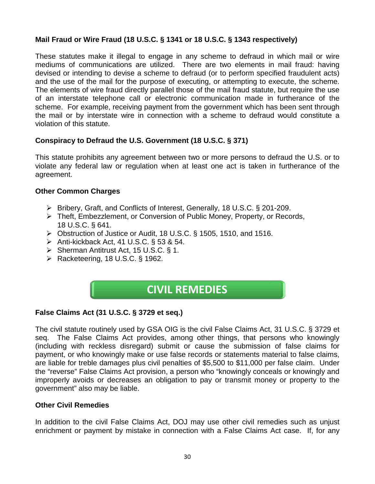#### **Mail Fraud or Wire Fraud (18 U.S.C. § 1341 or 18 U.S.C. § 1343 respectively)**

These statutes make it illegal to engage in any scheme to defraud in which mail or wire mediums of communications are utilized. There are two elements in mail fraud: having devised or intending to devise a scheme to defraud (or to perform specified fraudulent acts) and the use of the mail for the purpose of executing, or attempting to execute, the scheme. The elements of wire fraud directly parallel those of the mail fraud statute, but require the use of an interstate telephone call or electronic communication made in furtherance of the scheme. For example, receiving payment from the government which has been sent through the mail or by interstate wire in connection with a scheme to defraud would constitute a violation of this statute.

#### **Conspiracy to Defraud the U.S. Government (18 U.S.C. § 371)**

This statute prohibits any agreement between two or more persons to defraud the U.S. or to violate any federal law or regulation when at least one act is taken in furtherance of the agreement.

#### **Other Common Charges**

- Bribery, Graft, and Conflicts of Interest, Generally, 18 U.S.C. § 201-209.
- Theft, Embezzlement, or Conversion of Public Money, Property, or Records, 18 U.S.C. § 641.
- Obstruction of Justice or Audit, 18 U.S.C. § 1505, 1510, and 1516.
- Anti-kickback Act, 41 U.S.C. § 53 & 54.
- $\triangleright$  Sherman Antitrust Act, 15 U.S.C. § 1.
- $\triangleright$  Racketeering, 18 U.S.C. § 1962.

## **CIVIL REMEDIES**

#### **False Claims Act (31 U.S.C. § 3729 et seq.)**

The civil statute routinely used by GSA OIG is the civil False Claims Act, 31 U.S.C. § 3729 et seq. The False Claims Act provides, among other things, that persons who knowingly (including with reckless disregard) submit or cause the submission of false claims for payment, or who knowingly make or use false records or statements material to false claims, are liable for treble damages plus civil penalties of \$5,500 to \$11,000 per false claim. Under the "reverse" False Claims Act provision, a person who "knowingly conceals or knowingly and improperly avoids or decreases an obligation to pay or transmit money or property to the government" also may be liable.

#### **Other Civil Remedies**

In addition to the civil False Claims Act, DOJ may use other civil remedies such as unjust enrichment or payment by mistake in connection with a False Claims Act case. If, for any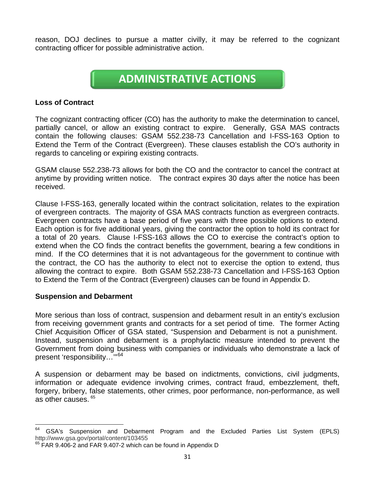reason, DOJ declines to pursue a matter civilly, it may be referred to the cognizant contracting officer for possible administrative action.

## **ADMINISTRATIVE ACTIONS**

#### **Loss of Contract**

The cognizant contracting officer (CO) has the authority to make the determination to cancel, partially cancel, or allow an existing contract to expire. Generally, GSA MAS contracts contain the following clauses: GSAM 552.238-73 Cancellation and I-FSS-163 Option to Extend the Term of the Contract (Evergreen). These clauses establish the CO's authority in regards to canceling or expiring existing contracts.

GSAM clause 552.238-73 allows for both the CO and the contractor to cancel the contract at anytime by providing written notice. The contract expires 30 days after the notice has been received.

Clause I-FSS-163, generally located within the contract solicitation, relates to the expiration of evergreen contracts. The majority of GSA MAS contracts function as evergreen contracts. Evergreen contracts have a base period of five years with three possible options to extend. Each option is for five additional years, giving the contractor the option to hold its contract for a total of 20 years. Clause I-FSS-163 allows the CO to exercise the contract's option to extend when the CO finds the contract benefits the government, bearing a few conditions in mind. If the CO determines that it is not advantageous for the government to continue with the contract, the CO has the authority to elect not to exercise the option to extend, thus allowing the contract to expire. Both GSAM 552.238-73 Cancellation and I-FSS-163 Option to Extend the Term of the Contract (Evergreen) clauses can be found in Appendix D.

#### **Suspension and Debarment**

More serious than loss of contract, suspension and debarment result in an entity's exclusion from receiving government grants and contracts for a set period of time. The former Acting Chief Acquisition Officer of GSA stated, "Suspension and Debarment is not a punishment. Instead, suspension and debarment is a prophylactic measure intended to prevent the Government from doing business with companies or individuals who demonstrate a lack of present 'responsibility…'" [64](#page-33-0)

A suspension or debarment may be based on indictments, convictions, civil judgments, information or adequate evidence involving crimes, contract fraud, embezzlement, theft, forgery, bribery, false statements, other crimes, poor performance, non-performance, as well as other causes. [65](#page-33-1)

<span id="page-33-0"></span> $64$  GSA's Suspension and Debarment Program and the Excluded Parties List System (EPLS) http://www.gsa.gov/portal/content/103455

<span id="page-33-1"></span> $65$  FAR 9.406-2 and FAR 9.407-2 which can be found in Appendix D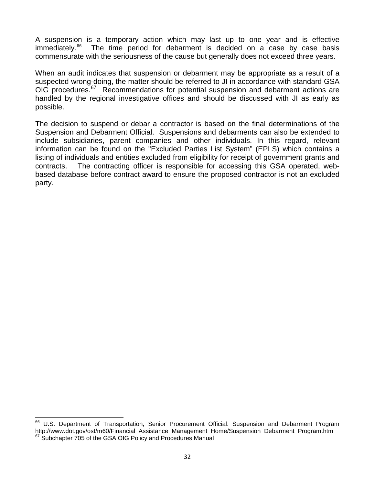A suspension is a temporary action which may last up to one year and is effective immediately. [66](#page-34-0) The time period for debarment is decided on a case by case basis commensurate with the seriousness of the cause but generally does not exceed three years.

When an audit indicates that suspension or debarment may be appropriate as a result of a suspected wrong-doing, the matter should be referred to JI in accordance with standard GSA OIG procedures.<sup>[67](#page-34-1)</sup> Recommendations for potential suspension and debarment actions are handled by the regional investigative offices and should be discussed with JI as early as possible.

The decision to suspend or debar a contractor is based on the final determinations of the Suspension and Debarment Official. Suspensions and debarments can also be extended to include subsidiaries, parent companies and other individuals. In this regard, relevant information can be found on the "Excluded Parties List System" (EPLS) which contains a listing of individuals and entities excluded from eligibility for receipt of government grants and contracts. The contracting officer is responsible for accessing this GSA operated, webbased database before contract award to ensure the proposed contractor is not an excluded party.

<span id="page-34-1"></span><span id="page-34-0"></span><sup>&</sup>lt;sup>66</sup> U.S. Department of Transportation, Senior Procurement Official: Suspension and Debarment Program http://www.dot.gov/ost/m60/Financial Assistance Management Home/Suspension Debarment Program.htm  $67$  Subchapter  $705$  of the GSA OIG Policy and Procedures Manual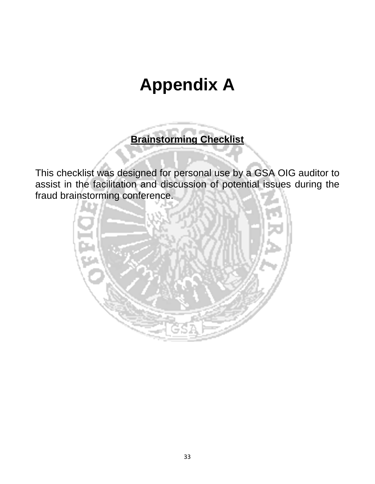## **Appendix A**

**Brainstorming Checklist**

This checklist was designed for personal use by a GSA OIG auditor to assist in the facilitation and discussion of potential issues during the fraud brainstorming conference.

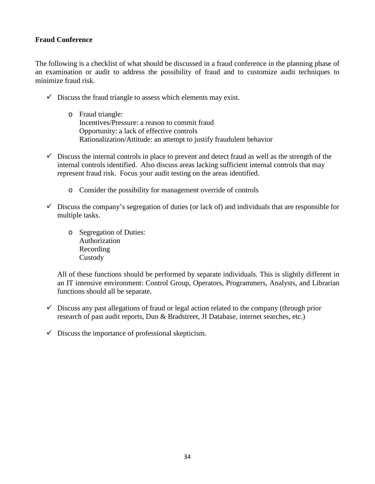#### **Fraud Conference**

The following is a checklist of what should be discussed in a fraud conference in the planning phase of an examination or audit to address the possibility of fraud and to customize audit techniques to minimize fraud risk.

- $\checkmark$  Discuss the fraud triangle to assess which elements may exist.
	- o Fraud triangle: Incentives/Pressure: a reason to commit fraud Opportunity: a lack of effective controls Rationalization/Attitude: an attempt to justify fraudulent behavior
- $\checkmark$  Discuss the internal controls in place to prevent and detect fraud as well as the strength of the internal controls identified. Also discuss areas lacking sufficient internal controls that may represent fraud risk. Focus your audit testing on the areas identified.
	- o Consider the possibility for management override of controls
- $\checkmark$  Discuss the company's segregation of duties (or lack of) and individuals that are responsible for multiple tasks.
	- o Segregation of Duties: Authorization Recording **Custody**

All of these functions should be performed by separate individuals. This is slightly different in an IT intensive environment: Control Group, Operators, Programmers, Analysts, and Librarian functions should all be separate.

- $\checkmark$  Discuss any past allegations of fraud or legal action related to the company (through prior research of past audit reports, Dun & Bradstreet, JI Database, internet searches, etc.)
- $\checkmark$  Discuss the importance of professional skepticism.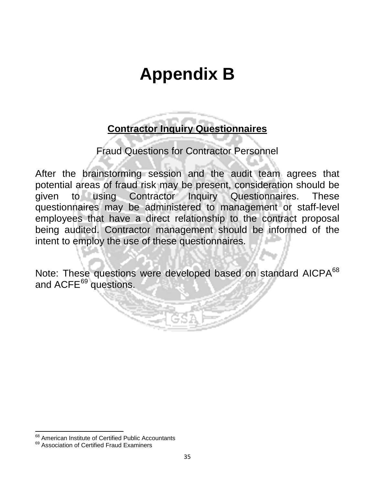## **Appendix B**

## **Contractor Inquiry Questionnaires**

Fraud Questions for Contractor Personnel

After the brainstorming session and the audit team agrees that potential areas of fraud risk may be present, consideration should be given to using Contractor Inquiry Questionnaires. These questionnaires may be administered to management or staff-level employees that have a direct relationship to the contract proposal being audited. Contractor management should be informed of the intent to employ the use of these questionnaires.

Note: These questions were developed based on standard AICPA<sup>[68](#page-37-0)</sup> and ACFE<sup>[69](#page-37-1)</sup> questions.

<span id="page-37-0"></span><sup>&</sup>lt;sup>68</sup> American Institute of Certified Public Accountants

<span id="page-37-1"></span><sup>&</sup>lt;sup>69</sup> Association of Certified Fraud Examiners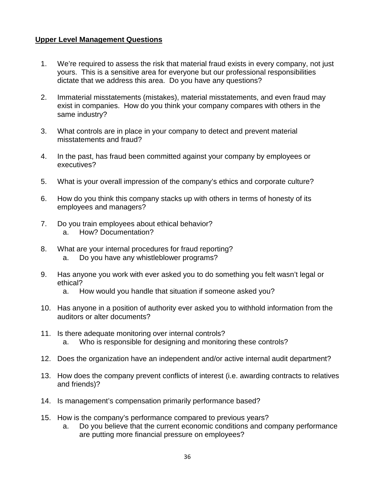#### **Upper Level Management Questions**

- 1. We're required to assess the risk that material fraud exists in every company, not just yours. This is a sensitive area for everyone but our professional responsibilities dictate that we address this area. Do you have any questions?
- 2. Immaterial misstatements (mistakes), material misstatements, and even fraud may exist in companies. How do you think your company compares with others in the same industry?
- 3. What controls are in place in your company to detect and prevent material misstatements and fraud?
- 4. In the past, has fraud been committed against your company by employees or executives?
- 5. What is your overall impression of the company's ethics and corporate culture?
- 6. How do you think this company stacks up with others in terms of honesty of its employees and managers?
- 7. Do you train employees about ethical behavior? a. How? Documentation?
- 8. What are your internal procedures for fraud reporting? a. Do you have any whistleblower programs?
- 9. Has anyone you work with ever asked you to do something you felt wasn't legal or ethical?
	- a. How would you handle that situation if someone asked you?
- 10. Has anyone in a position of authority ever asked you to withhold information from the auditors or alter documents?
- 11. Is there adequate monitoring over internal controls? a. Who is responsible for designing and monitoring these controls?
- 12. Does the organization have an independent and/or active internal audit department?
- 13. How does the company prevent conflicts of interest (i.e. awarding contracts to relatives and friends)?
- 14. Is management's compensation primarily performance based?
- 15. How is the company's performance compared to previous years?
	- a. Do you believe that the current economic conditions and company performance are putting more financial pressure on employees?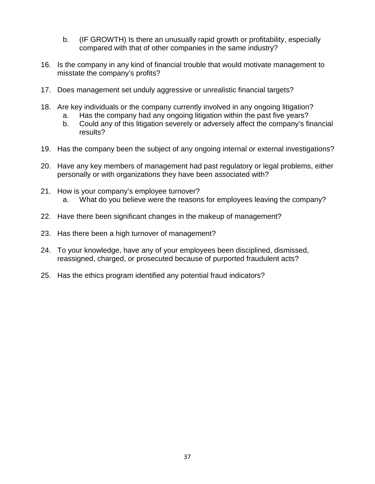- b. (IF GROWTH) Is there an unusually rapid growth or profitability, especially compared with that of other companies in the same industry?
- 16. Is the company in any kind of financial trouble that would motivate management to misstate the company's profits?
- 17. Does management set unduly aggressive or unrealistic financial targets?
- 18. Are key individuals or the company currently involved in any ongoing litigation? a. Has the company had any ongoing litigation within the past five years?
	- b. Could any of this litigation severely or adversely affect the company's financial results?
- 19. Has the company been the subject of any ongoing internal or external investigations?
- 20. Have any key members of management had past regulatory or legal problems, either personally or with organizations they have been associated with?
- 21. How is your company's employee turnover? a. What do you believe were the reasons for employees leaving the company?
- 22. Have there been significant changes in the makeup of management?
- 23. Has there been a high turnover of management?
- 24. To your knowledge, have any of your employees been disciplined, dismissed, reassigned, charged, or prosecuted because of purported fraudulent acts?
- 25. Has the ethics program identified any potential fraud indicators?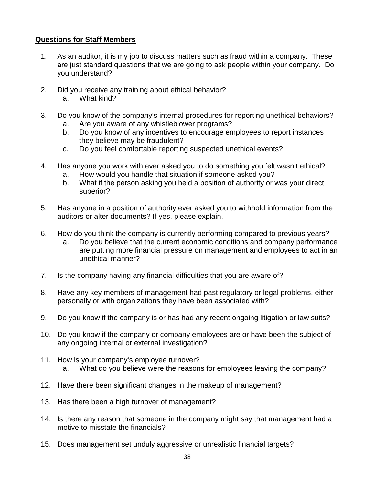#### **Questions for Staff Members**

- 1. As an auditor, it is my job to discuss matters such as fraud within a company. These are just standard questions that we are going to ask people within your company. Do you understand?
- 2. Did you receive any training about ethical behavior? a. What kind?
- 3. Do you know of the company's internal procedures for reporting unethical behaviors?
	- a. Are you aware of any whistleblower programs?
	- b. Do you know of any incentives to encourage employees to report instances they believe may be fraudulent?
	- c. Do you feel comfortable reporting suspected unethical events?
- 4. Has anyone you work with ever asked you to do something you felt wasn't ethical?
	- a. How would you handle that situation if someone asked you?
	- b. What if the person asking you held a position of authority or was your direct superior?
- 5. Has anyone in a position of authority ever asked you to withhold information from the auditors or alter documents? If yes, please explain.
- 6. How do you think the company is currently performing compared to previous years?
	- a. Do you believe that the current economic conditions and company performance are putting more financial pressure on management and employees to act in an unethical manner?
- 7. Is the company having any financial difficulties that you are aware of?
- 8. Have any key members of management had past regulatory or legal problems, either personally or with organizations they have been associated with?
- 9. Do you know if the company is or has had any recent ongoing litigation or law suits?
- 10. Do you know if the company or company employees are or have been the subject of any ongoing internal or external investigation?
- 11. How is your company's employee turnover? a. What do you believe were the reasons for employees leaving the company?
- 12. Have there been significant changes in the makeup of management?
- 13. Has there been a high turnover of management?
- 14. Is there any reason that someone in the company might say that management had a motive to misstate the financials?
- 15. Does management set unduly aggressive or unrealistic financial targets?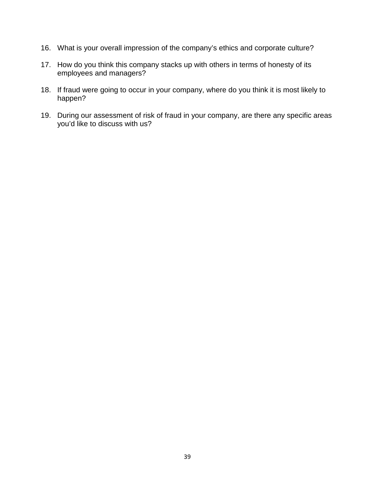- 16. What is your overall impression of the company's ethics and corporate culture?
- 17. How do you think this company stacks up with others in terms of honesty of its employees and managers?
- 18. If fraud were going to occur in your company, where do you think it is most likely to happen?
- 19. During our assessment of risk of fraud in your company, are there any specific areas you'd like to discuss with us?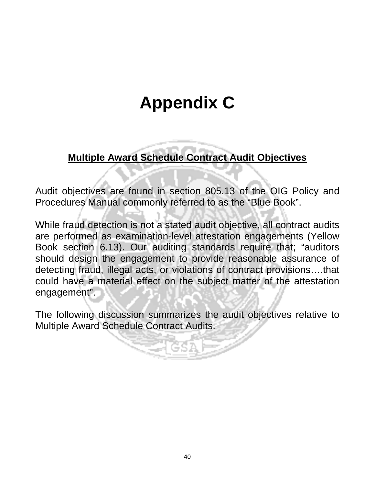## **Appendix C**

## **Multiple Award Schedule Contract Audit Objectives**

Audit objectives are found in section 805.13 of the OIG Policy and Procedures Manual commonly referred to as the "Blue Book".

While fraud detection is not a stated audit objective, all contract audits are performed as examination-level attestation engagements (Yellow Book section 6.13). Our auditing standards require that; "auditors should design the engagement to provide reasonable assurance of detecting fraud, illegal acts, or violations of contract provisions….that could have a material effect on the subject matter of the attestation engagement".

The following discussion summarizes the audit objectives relative to Multiple Award Schedule Contract Audits.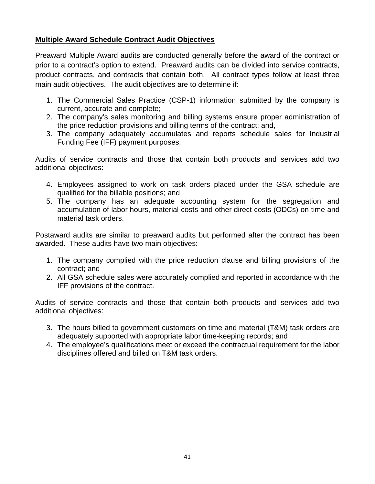#### **Multiple Award Schedule Contract Audit Objectives**

Preaward Multiple Award audits are conducted generally before the award of the contract or prior to a contract's option to extend. Preaward audits can be divided into service contracts, product contracts, and contracts that contain both. All contract types follow at least three main audit objectives. The audit objectives are to determine if:

- 1. The Commercial Sales Practice (CSP-1) information submitted by the company is current, accurate and complete;
- 2. The company's sales monitoring and billing systems ensure proper administration of the price reduction provisions and billing terms of the contract; and,
- 3. The company adequately accumulates and reports schedule sales for Industrial Funding Fee (IFF) payment purposes.

Audits of service contracts and those that contain both products and services add two additional objectives:

- 4. Employees assigned to work on task orders placed under the GSA schedule are qualified for the billable positions; and
- 5. The company has an adequate accounting system for the segregation and accumulation of labor hours, material costs and other direct costs (ODCs) on time and material task orders.

Postaward audits are similar to preaward audits but performed after the contract has been awarded. These audits have two main objectives:

- 1. The company complied with the price reduction clause and billing provisions of the contract; and
- 2. All GSA schedule sales were accurately complied and reported in accordance with the IFF provisions of the contract.

Audits of service contracts and those that contain both products and services add two additional objectives:

- 3. The hours billed to government customers on time and material (T&M) task orders are adequately supported with appropriate labor time-keeping records; and
- 4. The employee's qualifications meet or exceed the contractual requirement for the labor disciplines offered and billed on T&M task orders.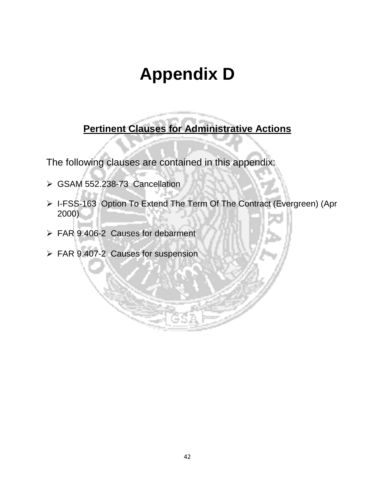## **Appendix D**

**Pertinent Clauses for Administrative Actions**

The following clauses are contained in this appendix:

- GSAM 552.238-73 Cancellation
- > I-FSS-163 Option To Extend The Term Of The Contract (Evergreen) (Apr 2000)
- FAR 9.406-2 Causes for debarment
- FAR 9.407-2 Causes for suspension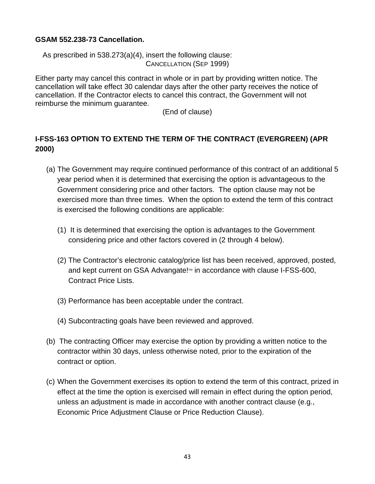#### **GSAM 552.238-73 Cancellation.**

As prescribed in 538.273(a)(4), insert the following clause: CANCELLATION (SEP 1999)

Either party may cancel this contract in whole or in part by providing written notice. The cancellation will take effect 30 calendar days after the other party receives the notice of cancellation. If the Contractor elects to cancel this contract, the Government will not reimburse the minimum guarantee.

(End of clause)

### **I-FSS-163 OPTION TO EXTEND THE TERM OF THE CONTRACT (EVERGREEN) (APR 2000)**

- (a) The Government may require continued performance of this contract of an additional 5 year period when it is determined that exercising the option is advantageous to the Government considering price and other factors. The option clause may not be exercised more than three times. When the option to extend the term of this contract is exercised the following conditions are applicable:
	- (1) It is determined that exercising the option is advantages to the Government considering price and other factors covered in (2 through 4 below).
	- (2) The Contractor's electronic catalog/price list has been received, approved, posted, and kept current on GSA Advangate!™ in accordance with clause I-FSS-600, Contract Price Lists.
	- (3) Performance has been acceptable under the contract.
	- (4) Subcontracting goals have been reviewed and approved.
- (b) The contracting Officer may exercise the option by providing a written notice to the contractor within 30 days, unless otherwise noted, prior to the expiration of the contract or option.
- (c) When the Government exercises its option to extend the term of this contract, prized in effect at the time the option is exercised will remain in effect during the option period, unless an adjustment is made in accordance with another contract clause (e.g., Economic Price Adjustment Clause or Price Reduction Clause).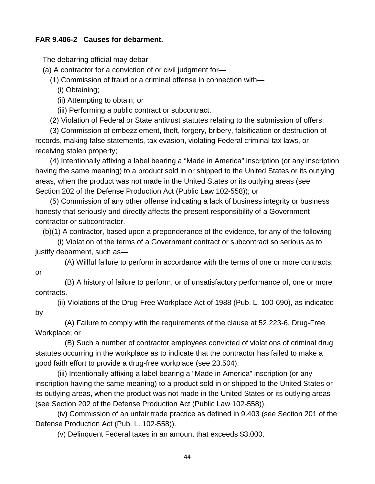#### **FAR 9.406-2 Causes for debarment.**

The debarring official may debar—

(a) A contractor for a conviction of or civil judgment for—

(1) Commission of fraud or a criminal offense in connection with—

(i) Obtaining;

(ii) Attempting to obtain; or

(iii) Performing a public contract or subcontract.

(2) Violation of Federal or State antitrust statutes relating to the submission of offers;

(3) Commission of embezzlement, theft, forgery, bribery, falsification or destruction of records, making false statements, tax evasion, violating Federal criminal tax laws, or receiving stolen property;

(4) Intentionally affixing a label bearing a "Made in America" inscription (or any inscription having the same meaning) to a product sold in or shipped to the United States or its outlying areas, when the product was not made in the United States or its outlying areas (see Section 202 of the Defense Production Act (Public Law 102-558)); or

(5) Commission of any other offense indicating a lack of business integrity or business honesty that seriously and directly affects the present responsibility of a Government contractor or subcontractor.

(b)(1) A contractor, based upon a preponderance of the evidence, for any of the following—

(i) Violation of the terms of a Government contract or subcontract so serious as to justify debarment, such as—

(A) Willful failure to perform in accordance with the terms of one or more contracts; or

(B) A history of failure to perform, or of unsatisfactory performance of, one or more contracts.

(ii) Violations of the Drug-Free Workplace Act of 1988 (Pub. L. 100-690), as indicated by—

(A) Failure to comply with the requirements of the clause at 52.223-6, Drug-Free Workplace; or

(B) Such a number of contractor employees convicted of violations of criminal drug statutes occurring in the workplace as to indicate that the contractor has failed to make a good faith effort to provide a drug-free workplace (see 23.504).

(iii) Intentionally affixing a label bearing a "Made in America" inscription (or any inscription having the same meaning) to a product sold in or shipped to the United States or its outlying areas, when the product was not made in the United States or its outlying areas (see Section 202 of the Defense Production Act (Public Law 102-558)).

(iv) Commission of an unfair trade practice as defined in 9.403 (see Section 201 of the Defense Production Act (Pub. L. 102-558)).

(v) Delinquent Federal taxes in an amount that exceeds \$3,000.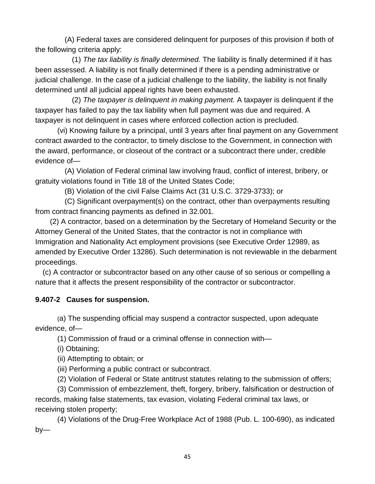(A) Federal taxes are considered delinquent for purposes of this provision if both of the following criteria apply:

(1) *The tax liability is finally determined.* The liability is finally determined if it has been assessed. A liability is not finally determined if there is a pending administrative or judicial challenge. In the case of a judicial challenge to the liability, the liability is not finally determined until all judicial appeal rights have been exhausted.

(2) *The taxpayer is delinquent in making payment.* A taxpayer is delinquent if the taxpayer has failed to pay the tax liability when full payment was due and required. A taxpayer is not delinquent in cases where enforced collection action is precluded.

(vi) Knowing failure by a principal, until 3 years after final payment on any Government contract awarded to the contractor, to timely disclose to the Government, in connection with the award, performance, or closeout of the contract or a subcontract there under, credible evidence of—

(A) Violation of Federal criminal law involving fraud, conflict of interest, bribery, or gratuity violations found in Title 18 of the United States Code;

(B) Violation of the civil False Claims Act (31 U.S.C. 3729-3733); or

(C) Significant overpayment(s) on the contract, other than overpayments resulting from contract financing payments as defined in 32.001.

(2) A contractor, based on a determination by the Secretary of Homeland Security or the Attorney General of the United States, that the contractor is not in compliance with Immigration and Nationality Act employment provisions (see Executive Order 12989, as amended by Executive Order 13286). Such determination is not reviewable in the debarment proceedings.

(c) A contractor or subcontractor based on any other cause of so serious or compelling a nature that it affects the present responsibility of the contractor or subcontractor.

#### **9.407-2 Causes for suspension.**

(a) The suspending official may suspend a contractor suspected, upon adequate evidence, of—

(1) Commission of fraud or a criminal offense in connection with—

(i) Obtaining;

(ii) Attempting to obtain; or

(iii) Performing a public contract or subcontract.

(2) Violation of Federal or State antitrust statutes relating to the submission of offers;

(3) Commission of embezzlement, theft, forgery, bribery, falsification or destruction of records, making false statements, tax evasion, violating Federal criminal tax laws, or receiving stolen property;

(4) Violations of the Drug-Free Workplace Act of 1988 (Pub. L. 100-690), as indicated by—